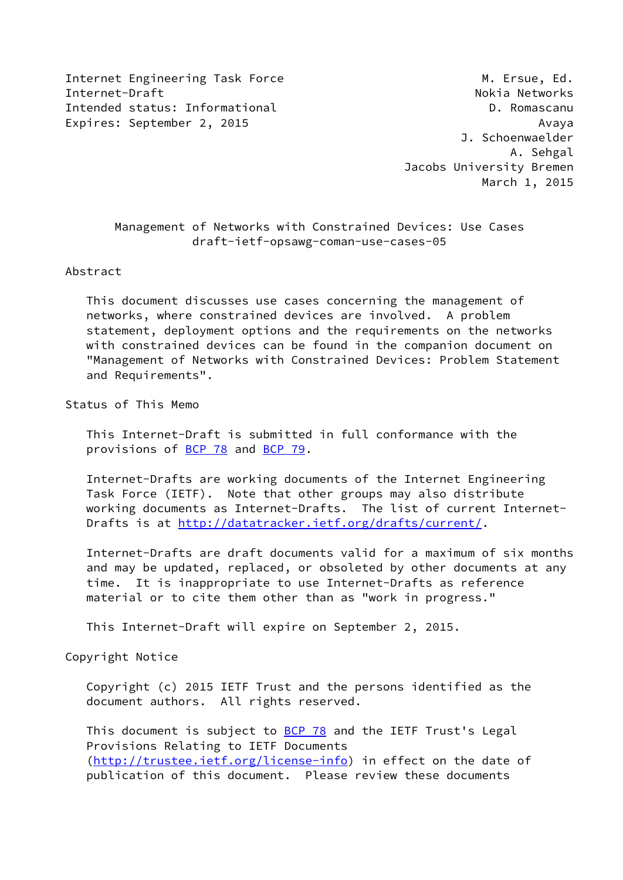Internet Engineering Task Force M. Ersue, Ed. Internet-Draft **No. 1998** 11 Nokia Networks Intended status: Informational D. Romascanu Expires: September 2, 2015 Avaya

 J. Schoenwaelder A. Sehgal Jacobs University Bremen March 1, 2015

# Management of Networks with Constrained Devices: Use Cases draft-ietf-opsawg-coman-use-cases-05

#### Abstract

 This document discusses use cases concerning the management of networks, where constrained devices are involved. A problem statement, deployment options and the requirements on the networks with constrained devices can be found in the companion document on "Management of Networks with Constrained Devices: Problem Statement and Requirements".

# Status of This Memo

 This Internet-Draft is submitted in full conformance with the provisions of [BCP 78](https://datatracker.ietf.org/doc/pdf/bcp78) and [BCP 79](https://datatracker.ietf.org/doc/pdf/bcp79).

 Internet-Drafts are working documents of the Internet Engineering Task Force (IETF). Note that other groups may also distribute working documents as Internet-Drafts. The list of current Internet- Drafts is at<http://datatracker.ietf.org/drafts/current/>.

 Internet-Drafts are draft documents valid for a maximum of six months and may be updated, replaced, or obsoleted by other documents at any time. It is inappropriate to use Internet-Drafts as reference material or to cite them other than as "work in progress."

This Internet-Draft will expire on September 2, 2015.

#### Copyright Notice

 Copyright (c) 2015 IETF Trust and the persons identified as the document authors. All rights reserved.

This document is subject to **[BCP 78](https://datatracker.ietf.org/doc/pdf/bcp78)** and the IETF Trust's Legal Provisions Relating to IETF Documents [\(http://trustee.ietf.org/license-info](http://trustee.ietf.org/license-info)) in effect on the date of publication of this document. Please review these documents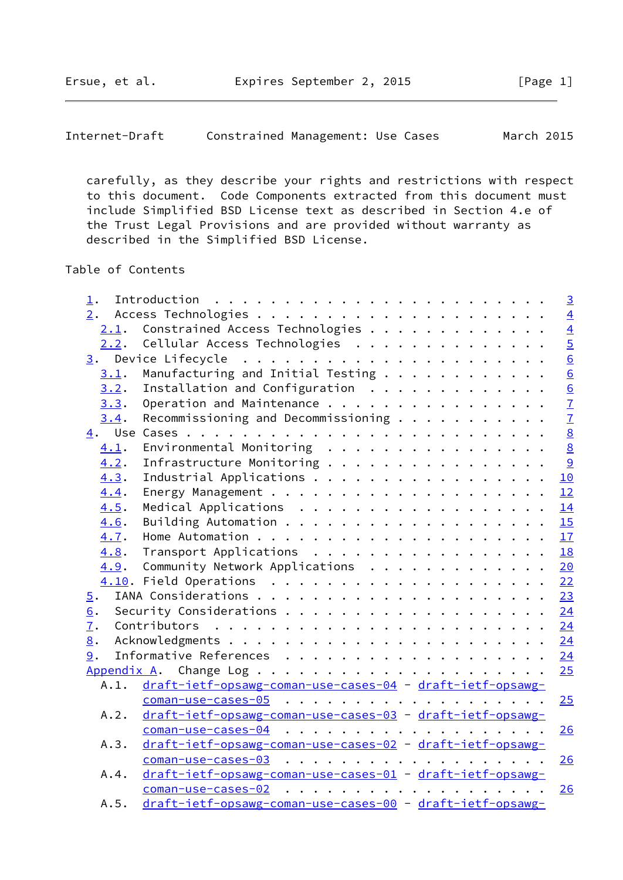carefully, as they describe your rights and restrictions with respect to this document. Code Components extracted from this document must include Simplified BSD License text as described in Section 4.e of the Trust Legal Provisions and are provided without warranty as described in the Simplified BSD License.

Table of Contents

| $\mathbf 1$ .                                                     | $\overline{3}$              |
|-------------------------------------------------------------------|-----------------------------|
| 2.                                                                | $\overline{4}$              |
| Constrained Access Technologies<br>2.1.                           |                             |
| Cellular Access Technologies<br>2.2.                              | $\frac{4}{5}$ $\frac{5}{6}$ |
| 3.                                                                |                             |
| Manufacturing and Initial Testing<br>3.1.                         |                             |
| Installation and Configuration<br>3.2.                            |                             |
| Operation and Maintenance<br>3.3.                                 | $\frac{6}{7}$               |
| Recommissioning and Decommissioning $\cdots$<br>3.4.              |                             |
| 4.                                                                | $\frac{1}{8}$               |
| Environmental Monitoring $\ldots$ ,<br>4.1.                       |                             |
| Infrastructure Monitoring<br>4.2.                                 | $\overline{9}$              |
| Industrial Applications<br>10<br>4.3.                             |                             |
| 4.4.<br>12                                                        |                             |
| Medical Applications<br>4.5.<br>14                                |                             |
| 15<br>4.6.                                                        |                             |
| 17<br>4.7.                                                        |                             |
| Transport Applications<br>18<br>4.8.                              |                             |
| Community Network Applications<br>4.9.<br>20                      |                             |
| 22                                                                |                             |
| 23<br>5.                                                          |                             |
| 24<br>6.                                                          |                             |
| $\overline{1}$ .<br>24                                            |                             |
| 8.<br>24                                                          |                             |
| 24<br>9.                                                          |                             |
| 25                                                                |                             |
| draft-ietf-opsawg-coman-use-cases-04 - draft-ietf-opsawg-<br>A.1. |                             |
| 25                                                                |                             |
| draft-ietf-opsawg-coman-use-cases-03 - draft-ietf-opsawg-<br>A.2. |                             |
| $coman-use-cases-04$<br>26                                        |                             |
| draft-ietf-opsawg-coman-use-cases-02 - draft-ietf-opsawg-<br>A.3. |                             |
| 26                                                                |                             |
| draft-ietf-opsawg-coman-use-cases-01 - draft-ietf-opsawg-<br>A.4. |                             |
| 26                                                                |                             |
| draft-ietf-opsawg-coman-use-cases-00 - draft-ietf-opsawg-<br>A.5. |                             |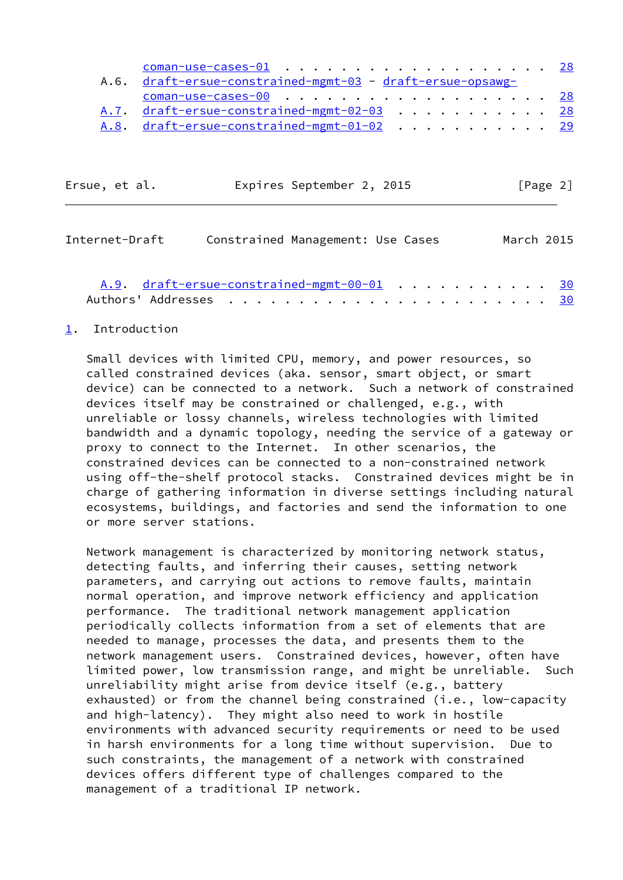| A.6. draft-ersue-constrained-mgmt-03 - draft-ersue-opsawg- |  |
|------------------------------------------------------------|--|
| $coman$ -use-cases-00 28                                   |  |
| A.7. draft-ersue-constrained-mgmt-02-03 28                 |  |
| A.8. draft-ersue-constrained-mgmt-01-02 29                 |  |

| Ersue, et al. | Expires September 2, 2015 | [Page 2] |
|---------------|---------------------------|----------|
|               |                           |          |

<span id="page-2-1"></span>

| Internet-Draft | Constrained Management: Use Cases          |  |  | March 2015 |
|----------------|--------------------------------------------|--|--|------------|
|                | A.9. draft-ersue-constrained-mgmt-00-01 30 |  |  |            |
|                |                                            |  |  |            |

#### <span id="page-2-0"></span>[1](#page-2-0). Introduction

 Small devices with limited CPU, memory, and power resources, so called constrained devices (aka. sensor, smart object, or smart device) can be connected to a network. Such a network of constrained devices itself may be constrained or challenged, e.g., with unreliable or lossy channels, wireless technologies with limited bandwidth and a dynamic topology, needing the service of a gateway or proxy to connect to the Internet. In other scenarios, the constrained devices can be connected to a non-constrained network using off-the-shelf protocol stacks. Constrained devices might be in charge of gathering information in diverse settings including natural ecosystems, buildings, and factories and send the information to one or more server stations.

 Network management is characterized by monitoring network status, detecting faults, and inferring their causes, setting network parameters, and carrying out actions to remove faults, maintain normal operation, and improve network efficiency and application performance. The traditional network management application periodically collects information from a set of elements that are needed to manage, processes the data, and presents them to the network management users. Constrained devices, however, often have limited power, low transmission range, and might be unreliable. Such unreliability might arise from device itself (e.g., battery exhausted) or from the channel being constrained (i.e., low-capacity and high-latency). They might also need to work in hostile environments with advanced security requirements or need to be used in harsh environments for a long time without supervision. Due to such constraints, the management of a network with constrained devices offers different type of challenges compared to the management of a traditional IP network.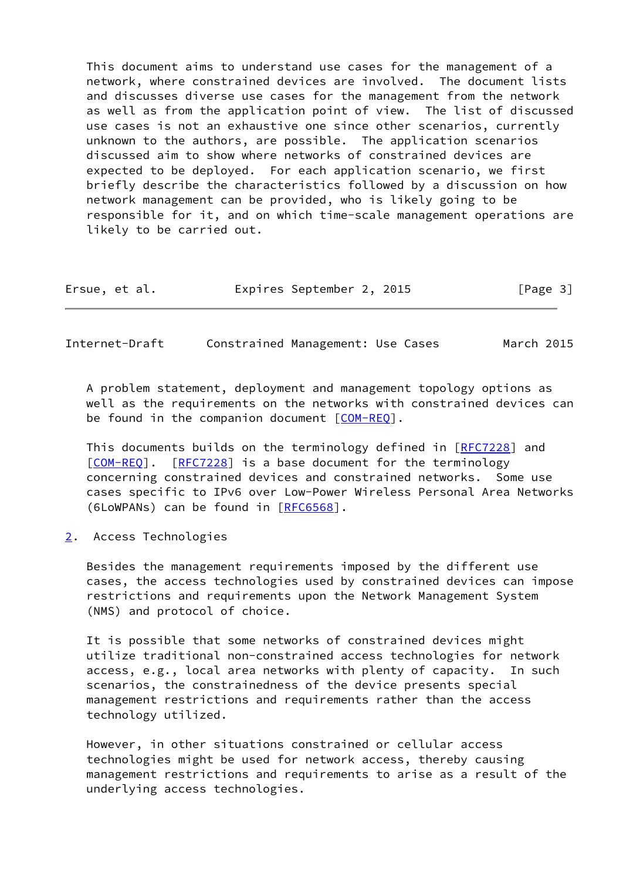This document aims to understand use cases for the management of a network, where constrained devices are involved. The document lists and discusses diverse use cases for the management from the network as well as from the application point of view. The list of discussed use cases is not an exhaustive one since other scenarios, currently unknown to the authors, are possible. The application scenarios discussed aim to show where networks of constrained devices are expected to be deployed. For each application scenario, we first briefly describe the characteristics followed by a discussion on how network management can be provided, who is likely going to be responsible for it, and on which time-scale management operations are likely to be carried out.

| Ersue, et al. |  |  | Expires September 2, 2015 |  |  |  | [Page 3] |  |
|---------------|--|--|---------------------------|--|--|--|----------|--|
|---------------|--|--|---------------------------|--|--|--|----------|--|

<span id="page-3-1"></span>Internet-Draft Constrained Management: Use Cases March 2015

 A problem statement, deployment and management topology options as well as the requirements on the networks with constrained devices can be found in the companion document  $[COM-REG]$ .

 This documents builds on the terminology defined in [\[RFC7228](https://datatracker.ietf.org/doc/pdf/rfc7228)] and [\[COM-REQ](#page-27-2)]. [\[RFC7228](https://datatracker.ietf.org/doc/pdf/rfc7228)] is a base document for the terminology concerning constrained devices and constrained networks. Some use cases specific to IPv6 over Low-Power Wireless Personal Area Networks (6LoWPANs) can be found in [[RFC6568\]](https://datatracker.ietf.org/doc/pdf/rfc6568).

<span id="page-3-0"></span>[2](#page-3-0). Access Technologies

 Besides the management requirements imposed by the different use cases, the access technologies used by constrained devices can impose restrictions and requirements upon the Network Management System (NMS) and protocol of choice.

 It is possible that some networks of constrained devices might utilize traditional non-constrained access technologies for network access, e.g., local area networks with plenty of capacity. In such scenarios, the constrainedness of the device presents special management restrictions and requirements rather than the access technology utilized.

 However, in other situations constrained or cellular access technologies might be used for network access, thereby causing management restrictions and requirements to arise as a result of the underlying access technologies.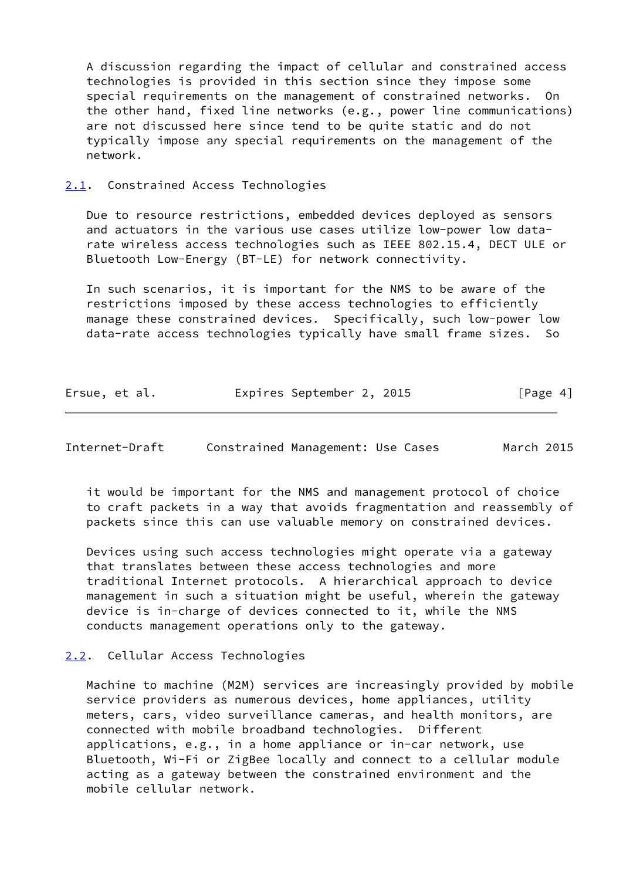A discussion regarding the impact of cellular and constrained access technologies is provided in this section since they impose some special requirements on the management of constrained networks. On the other hand, fixed line networks (e.g., power line communications) are not discussed here since tend to be quite static and do not typically impose any special requirements on the management of the network.

<span id="page-4-0"></span>[2.1](#page-4-0). Constrained Access Technologies

 Due to resource restrictions, embedded devices deployed as sensors and actuators in the various use cases utilize low-power low data rate wireless access technologies such as IEEE 802.15.4, DECT ULE or Bluetooth Low-Energy (BT-LE) for network connectivity.

 In such scenarios, it is important for the NMS to be aware of the restrictions imposed by these access technologies to efficiently manage these constrained devices. Specifically, such low-power low data-rate access technologies typically have small frame sizes. So

| Ersue, et al. | Expires September 2, 2015 | [Page 4] |
|---------------|---------------------------|----------|
|---------------|---------------------------|----------|

<span id="page-4-2"></span>Internet-Draft Constrained Management: Use Cases March 2015

 it would be important for the NMS and management protocol of choice to craft packets in a way that avoids fragmentation and reassembly of packets since this can use valuable memory on constrained devices.

 Devices using such access technologies might operate via a gateway that translates between these access technologies and more traditional Internet protocols. A hierarchical approach to device management in such a situation might be useful, wherein the gateway device is in-charge of devices connected to it, while the NMS conducts management operations only to the gateway.

# <span id="page-4-1"></span>[2.2](#page-4-1). Cellular Access Technologies

 Machine to machine (M2M) services are increasingly provided by mobile service providers as numerous devices, home appliances, utility meters, cars, video surveillance cameras, and health monitors, are connected with mobile broadband technologies. Different applications, e.g., in a home appliance or in-car network, use Bluetooth, Wi-Fi or ZigBee locally and connect to a cellular module acting as a gateway between the constrained environment and the mobile cellular network.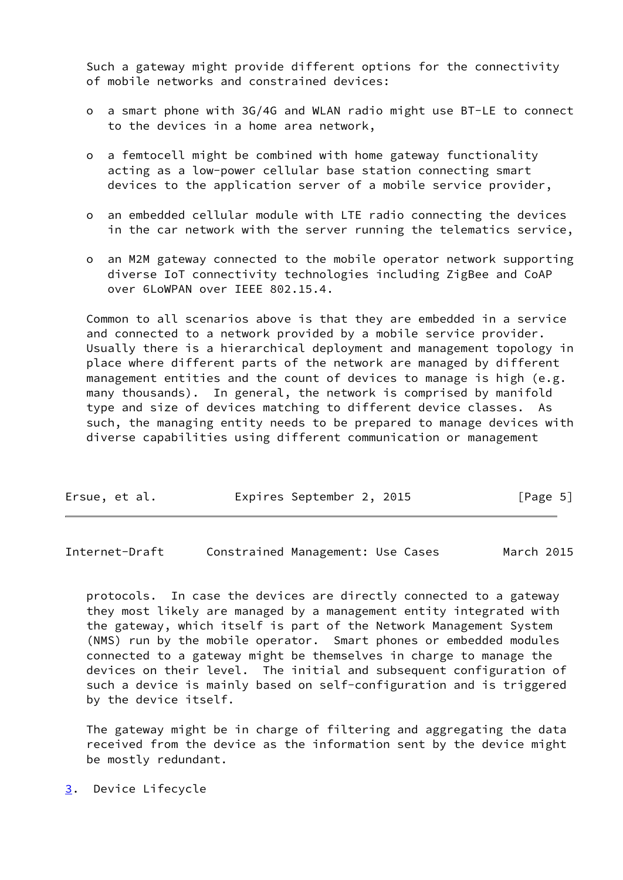Such a gateway might provide different options for the connectivity of mobile networks and constrained devices:

- o a smart phone with 3G/4G and WLAN radio might use BT-LE to connect to the devices in a home area network,
- o a femtocell might be combined with home gateway functionality acting as a low-power cellular base station connecting smart devices to the application server of a mobile service provider,
- o an embedded cellular module with LTE radio connecting the devices in the car network with the server running the telematics service,
- o an M2M gateway connected to the mobile operator network supporting diverse IoT connectivity technologies including ZigBee and CoAP over 6LoWPAN over IEEE 802.15.4.

 Common to all scenarios above is that they are embedded in a service and connected to a network provided by a mobile service provider. Usually there is a hierarchical deployment and management topology in place where different parts of the network are managed by different management entities and the count of devices to manage is high (e.g. many thousands). In general, the network is comprised by manifold type and size of devices matching to different device classes. As such, the managing entity needs to be prepared to manage devices with diverse capabilities using different communication or management

|  | Ersue, et al. |  | Expires September 2, 2015 |  |  | [Page 5] |  |  |
|--|---------------|--|---------------------------|--|--|----------|--|--|
|--|---------------|--|---------------------------|--|--|----------|--|--|

<span id="page-5-1"></span>Internet-Draft Constrained Management: Use Cases March 2015

 protocols. In case the devices are directly connected to a gateway they most likely are managed by a management entity integrated with the gateway, which itself is part of the Network Management System (NMS) run by the mobile operator. Smart phones or embedded modules connected to a gateway might be themselves in charge to manage the devices on their level. The initial and subsequent configuration of such a device is mainly based on self-configuration and is triggered by the device itself.

 The gateway might be in charge of filtering and aggregating the data received from the device as the information sent by the device might be mostly redundant.

<span id="page-5-0"></span>[3](#page-5-0). Device Lifecycle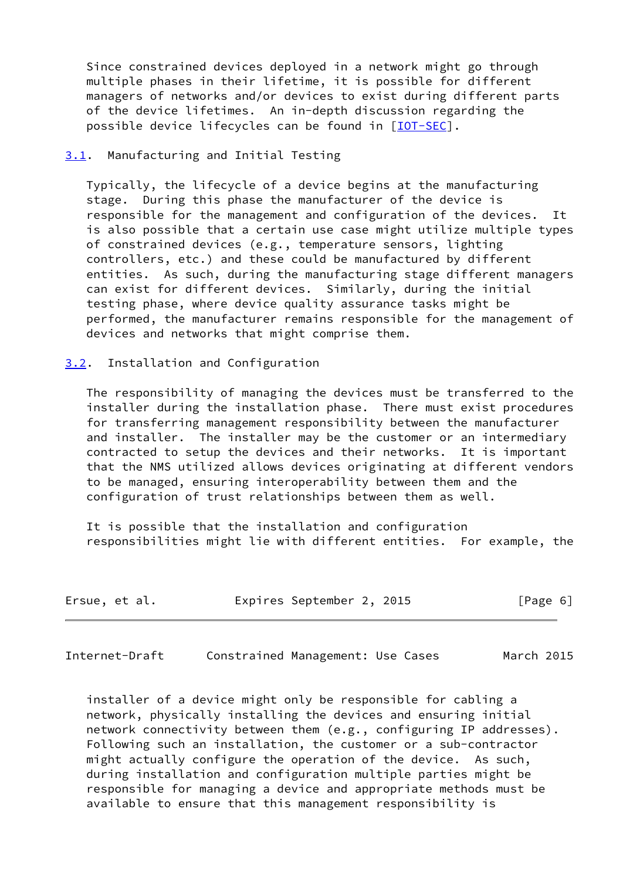Since constrained devices deployed in a network might go through multiple phases in their lifetime, it is possible for different managers of networks and/or devices to exist during different parts of the device lifetimes. An in-depth discussion regarding the possible device lifecycles can be found in [[IOT-SEC\]](#page-27-3).

# <span id="page-6-0"></span>[3.1](#page-6-0). Manufacturing and Initial Testing

 Typically, the lifecycle of a device begins at the manufacturing stage. During this phase the manufacturer of the device is responsible for the management and configuration of the devices. It is also possible that a certain use case might utilize multiple types of constrained devices (e.g., temperature sensors, lighting controllers, etc.) and these could be manufactured by different entities. As such, during the manufacturing stage different managers can exist for different devices. Similarly, during the initial testing phase, where device quality assurance tasks might be performed, the manufacturer remains responsible for the management of devices and networks that might comprise them.

#### <span id="page-6-1"></span>[3.2](#page-6-1). Installation and Configuration

 The responsibility of managing the devices must be transferred to the installer during the installation phase. There must exist procedures for transferring management responsibility between the manufacturer and installer. The installer may be the customer or an intermediary contracted to setup the devices and their networks. It is important that the NMS utilized allows devices originating at different vendors to be managed, ensuring interoperability between them and the configuration of trust relationships between them as well.

 It is possible that the installation and configuration responsibilities might lie with different entities. For example, the

| Ersue, et al. | Expires September 2, 2015 | [Page 6] |
|---------------|---------------------------|----------|
|---------------|---------------------------|----------|

<span id="page-6-2"></span>Internet-Draft Constrained Management: Use Cases March 2015

 installer of a device might only be responsible for cabling a network, physically installing the devices and ensuring initial network connectivity between them (e.g., configuring IP addresses). Following such an installation, the customer or a sub-contractor might actually configure the operation of the device. As such, during installation and configuration multiple parties might be responsible for managing a device and appropriate methods must be available to ensure that this management responsibility is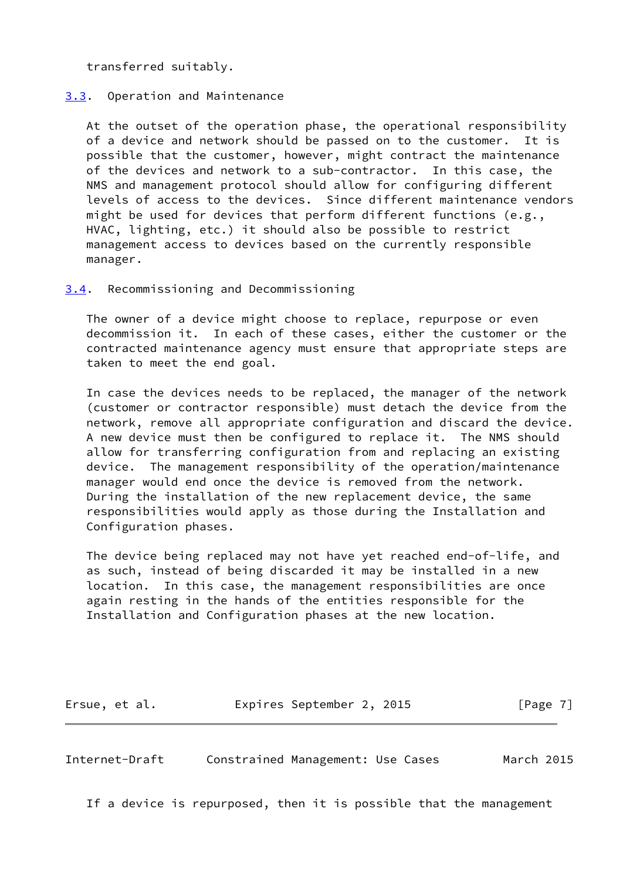transferred suitably.

# <span id="page-7-0"></span>[3.3](#page-7-0). Operation and Maintenance

 At the outset of the operation phase, the operational responsibility of a device and network should be passed on to the customer. It is possible that the customer, however, might contract the maintenance of the devices and network to a sub-contractor. In this case, the NMS and management protocol should allow for configuring different levels of access to the devices. Since different maintenance vendors might be used for devices that perform different functions (e.g., HVAC, lighting, etc.) it should also be possible to restrict management access to devices based on the currently responsible manager.

#### <span id="page-7-1"></span>[3.4](#page-7-1). Recommissioning and Decommissioning

 The owner of a device might choose to replace, repurpose or even decommission it. In each of these cases, either the customer or the contracted maintenance agency must ensure that appropriate steps are taken to meet the end goal.

 In case the devices needs to be replaced, the manager of the network (customer or contractor responsible) must detach the device from the network, remove all appropriate configuration and discard the device. A new device must then be configured to replace it. The NMS should allow for transferring configuration from and replacing an existing device. The management responsibility of the operation/maintenance manager would end once the device is removed from the network. During the installation of the new replacement device, the same responsibilities would apply as those during the Installation and Configuration phases.

 The device being replaced may not have yet reached end-of-life, and as such, instead of being discarded it may be installed in a new location. In this case, the management responsibilities are once again resting in the hands of the entities responsible for the Installation and Configuration phases at the new location.

Ersue, et al. Expires September 2, 2015 [Page 7]

<span id="page-7-2"></span>Internet-Draft Constrained Management: Use Cases March 2015

If a device is repurposed, then it is possible that the management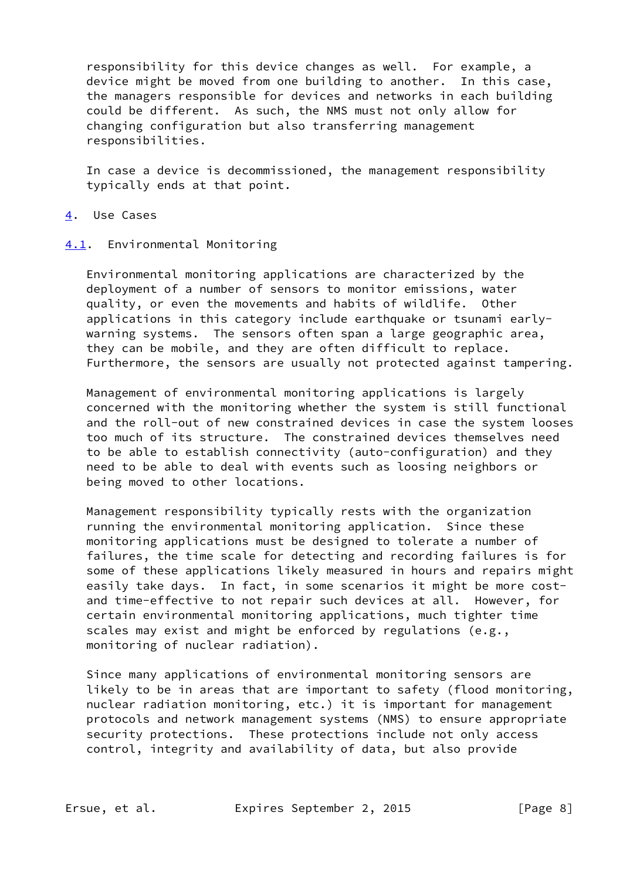responsibility for this device changes as well. For example, a device might be moved from one building to another. In this case, the managers responsible for devices and networks in each building could be different. As such, the NMS must not only allow for changing configuration but also transferring management responsibilities.

 In case a device is decommissioned, the management responsibility typically ends at that point.

#### <span id="page-8-0"></span>[4](#page-8-0). Use Cases

#### <span id="page-8-1"></span>[4.1](#page-8-1). Environmental Monitoring

 Environmental monitoring applications are characterized by the deployment of a number of sensors to monitor emissions, water quality, or even the movements and habits of wildlife. Other applications in this category include earthquake or tsunami early warning systems. The sensors often span a large geographic area, they can be mobile, and they are often difficult to replace. Furthermore, the sensors are usually not protected against tampering.

 Management of environmental monitoring applications is largely concerned with the monitoring whether the system is still functional and the roll-out of new constrained devices in case the system looses too much of its structure. The constrained devices themselves need to be able to establish connectivity (auto-configuration) and they need to be able to deal with events such as loosing neighbors or being moved to other locations.

 Management responsibility typically rests with the organization running the environmental monitoring application. Since these monitoring applications must be designed to tolerate a number of failures, the time scale for detecting and recording failures is for some of these applications likely measured in hours and repairs might easily take days. In fact, in some scenarios it might be more cost and time-effective to not repair such devices at all. However, for certain environmental monitoring applications, much tighter time scales may exist and might be enforced by regulations (e.g., monitoring of nuclear radiation).

 Since many applications of environmental monitoring sensors are likely to be in areas that are important to safety (flood monitoring, nuclear radiation monitoring, etc.) it is important for management protocols and network management systems (NMS) to ensure appropriate security protections. These protections include not only access control, integrity and availability of data, but also provide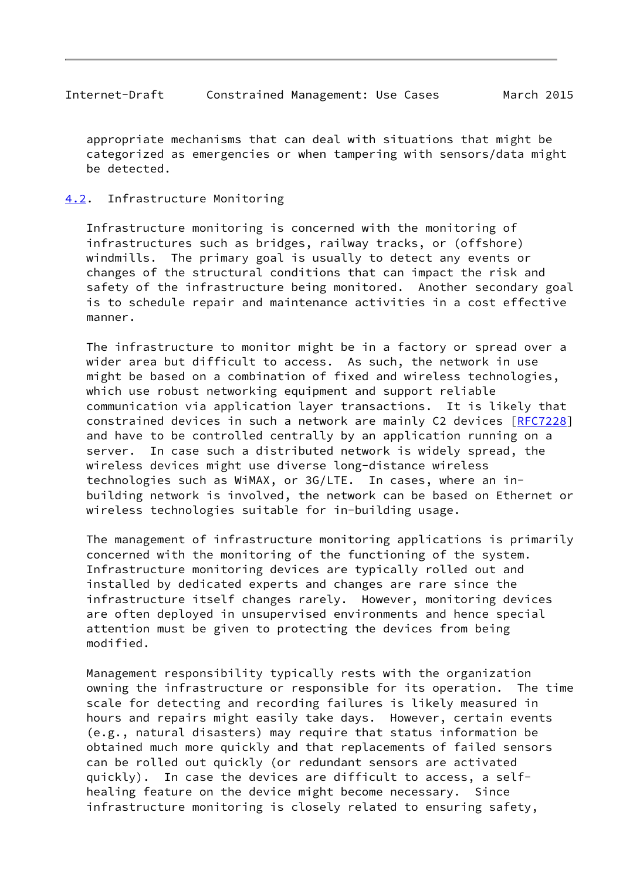<span id="page-9-1"></span> appropriate mechanisms that can deal with situations that might be categorized as emergencies or when tampering with sensors/data might be detected.

# <span id="page-9-0"></span>[4.2](#page-9-0). Infrastructure Monitoring

 Infrastructure monitoring is concerned with the monitoring of infrastructures such as bridges, railway tracks, or (offshore) windmills. The primary goal is usually to detect any events or changes of the structural conditions that can impact the risk and safety of the infrastructure being monitored. Another secondary goal is to schedule repair and maintenance activities in a cost effective manner.

 The infrastructure to monitor might be in a factory or spread over a wider area but difficult to access. As such, the network in use might be based on a combination of fixed and wireless technologies, which use robust networking equipment and support reliable communication via application layer transactions. It is likely that constrained devices in such a network are mainly C2 devices [\[RFC7228](https://datatracker.ietf.org/doc/pdf/rfc7228)] and have to be controlled centrally by an application running on a server. In case such a distributed network is widely spread, the wireless devices might use diverse long-distance wireless technologies such as WiMAX, or 3G/LTE. In cases, where an in building network is involved, the network can be based on Ethernet or wireless technologies suitable for in-building usage.

 The management of infrastructure monitoring applications is primarily concerned with the monitoring of the functioning of the system. Infrastructure monitoring devices are typically rolled out and installed by dedicated experts and changes are rare since the infrastructure itself changes rarely. However, monitoring devices are often deployed in unsupervised environments and hence special attention must be given to protecting the devices from being modified.

 Management responsibility typically rests with the organization owning the infrastructure or responsible for its operation. The time scale for detecting and recording failures is likely measured in hours and repairs might easily take days. However, certain events (e.g., natural disasters) may require that status information be obtained much more quickly and that replacements of failed sensors can be rolled out quickly (or redundant sensors are activated quickly). In case the devices are difficult to access, a self healing feature on the device might become necessary. Since infrastructure monitoring is closely related to ensuring safety,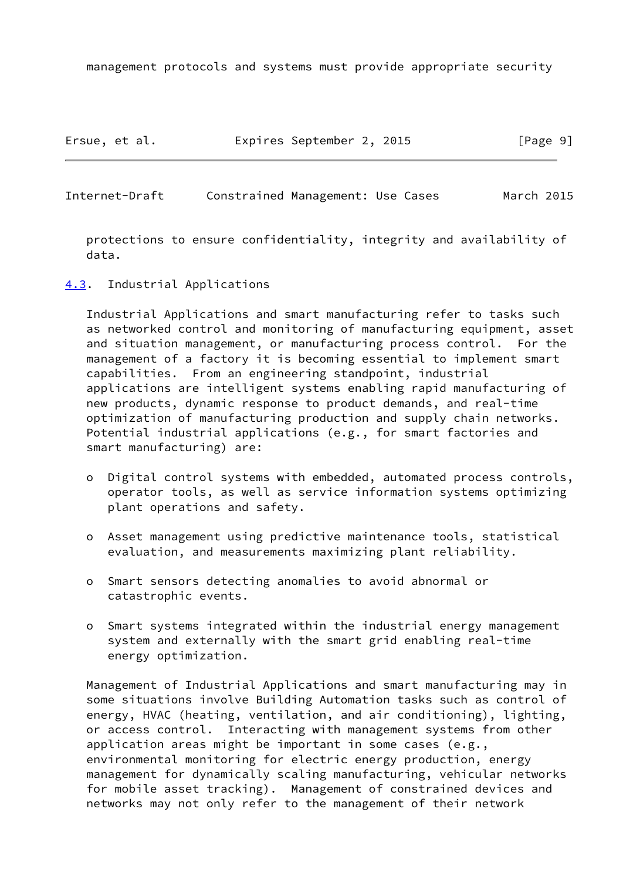management protocols and systems must provide appropriate security

Ersue, et al. Expires September 2, 2015 [Page 9]

<span id="page-10-1"></span>Internet-Draft Constrained Management: Use Cases March 2015

 protections to ensure confidentiality, integrity and availability of data.

<span id="page-10-0"></span>[4.3](#page-10-0). Industrial Applications

 Industrial Applications and smart manufacturing refer to tasks such as networked control and monitoring of manufacturing equipment, asset and situation management, or manufacturing process control. For the management of a factory it is becoming essential to implement smart capabilities. From an engineering standpoint, industrial applications are intelligent systems enabling rapid manufacturing of new products, dynamic response to product demands, and real-time optimization of manufacturing production and supply chain networks. Potential industrial applications (e.g., for smart factories and smart manufacturing) are:

- o Digital control systems with embedded, automated process controls, operator tools, as well as service information systems optimizing plant operations and safety.
- o Asset management using predictive maintenance tools, statistical evaluation, and measurements maximizing plant reliability.
- o Smart sensors detecting anomalies to avoid abnormal or catastrophic events.
- o Smart systems integrated within the industrial energy management system and externally with the smart grid enabling real-time energy optimization.

 Management of Industrial Applications and smart manufacturing may in some situations involve Building Automation tasks such as control of energy, HVAC (heating, ventilation, and air conditioning), lighting, or access control. Interacting with management systems from other application areas might be important in some cases (e.g., environmental monitoring for electric energy production, energy management for dynamically scaling manufacturing, vehicular networks for mobile asset tracking). Management of constrained devices and networks may not only refer to the management of their network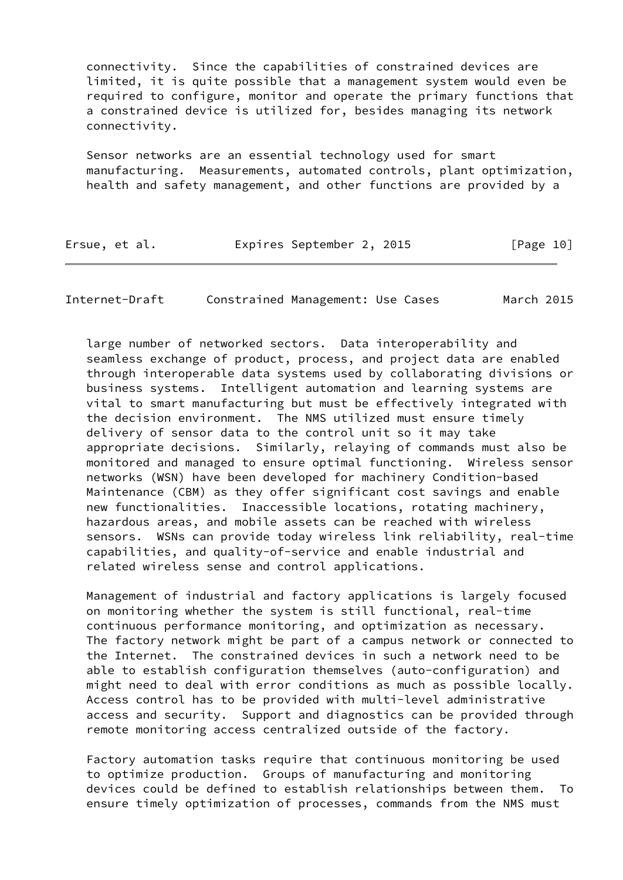connectivity. Since the capabilities of constrained devices are limited, it is quite possible that a management system would even be required to configure, monitor and operate the primary functions that a constrained device is utilized for, besides managing its network connectivity.

 Sensor networks are an essential technology used for smart manufacturing. Measurements, automated controls, plant optimization, health and safety management, and other functions are provided by a

| Ersue, et al. | Expires September 2, 2015 | [Page 10] |
|---------------|---------------------------|-----------|
|---------------|---------------------------|-----------|

Internet-Draft Constrained Management: Use Cases March 2015

 large number of networked sectors. Data interoperability and seamless exchange of product, process, and project data are enabled through interoperable data systems used by collaborating divisions or business systems. Intelligent automation and learning systems are vital to smart manufacturing but must be effectively integrated with the decision environment. The NMS utilized must ensure timely delivery of sensor data to the control unit so it may take appropriate decisions. Similarly, relaying of commands must also be monitored and managed to ensure optimal functioning. Wireless sensor networks (WSN) have been developed for machinery Condition-based Maintenance (CBM) as they offer significant cost savings and enable new functionalities. Inaccessible locations, rotating machinery, hazardous areas, and mobile assets can be reached with wireless sensors. WSNs can provide today wireless link reliability, real-time capabilities, and quality-of-service and enable industrial and related wireless sense and control applications.

 Management of industrial and factory applications is largely focused on monitoring whether the system is still functional, real-time continuous performance monitoring, and optimization as necessary. The factory network might be part of a campus network or connected to the Internet. The constrained devices in such a network need to be able to establish configuration themselves (auto-configuration) and might need to deal with error conditions as much as possible locally. Access control has to be provided with multi-level administrative access and security. Support and diagnostics can be provided through remote monitoring access centralized outside of the factory.

 Factory automation tasks require that continuous monitoring be used to optimize production. Groups of manufacturing and monitoring devices could be defined to establish relationships between them. To ensure timely optimization of processes, commands from the NMS must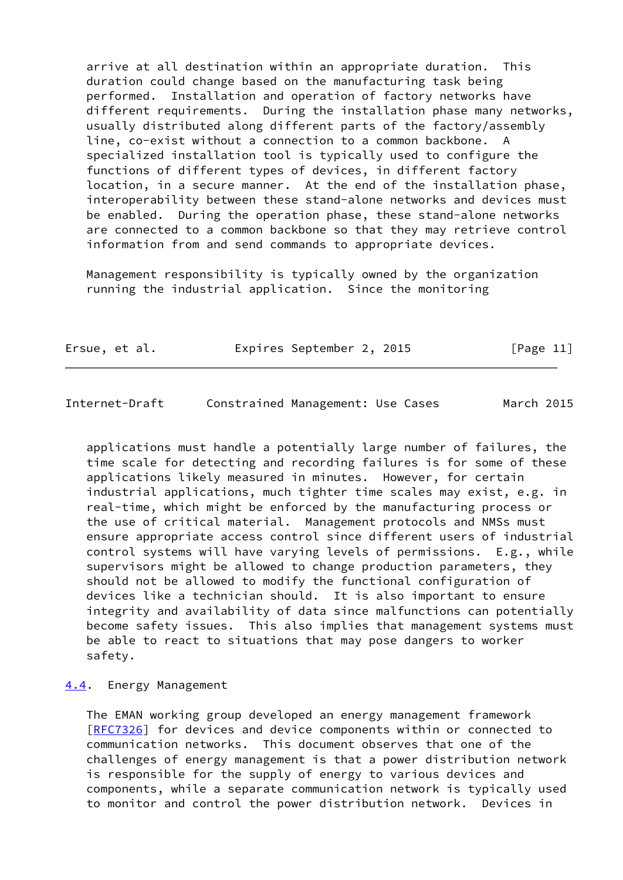arrive at all destination within an appropriate duration. This duration could change based on the manufacturing task being performed. Installation and operation of factory networks have different requirements. During the installation phase many networks, usually distributed along different parts of the factory/assembly line, co-exist without a connection to a common backbone. specialized installation tool is typically used to configure the functions of different types of devices, in different factory location, in a secure manner. At the end of the installation phase, interoperability between these stand-alone networks and devices must be enabled. During the operation phase, these stand-alone networks are connected to a common backbone so that they may retrieve control information from and send commands to appropriate devices.

 Management responsibility is typically owned by the organization running the industrial application. Since the monitoring

| Ersue, et al. | Expires September 2, 2015 | [Page 11] |
|---------------|---------------------------|-----------|
|---------------|---------------------------|-----------|

<span id="page-12-1"></span>Internet-Draft Constrained Management: Use Cases March 2015

 applications must handle a potentially large number of failures, the time scale for detecting and recording failures is for some of these applications likely measured in minutes. However, for certain industrial applications, much tighter time scales may exist, e.g. in real-time, which might be enforced by the manufacturing process or the use of critical material. Management protocols and NMSs must ensure appropriate access control since different users of industrial control systems will have varying levels of permissions. E.g., while supervisors might be allowed to change production parameters, they should not be allowed to modify the functional configuration of devices like a technician should. It is also important to ensure integrity and availability of data since malfunctions can potentially become safety issues. This also implies that management systems must be able to react to situations that may pose dangers to worker safety.

#### <span id="page-12-0"></span>[4.4](#page-12-0). Energy Management

 The EMAN working group developed an energy management framework [\[RFC7326](https://datatracker.ietf.org/doc/pdf/rfc7326)] for devices and device components within or connected to communication networks. This document observes that one of the challenges of energy management is that a power distribution network is responsible for the supply of energy to various devices and components, while a separate communication network is typically used to monitor and control the power distribution network. Devices in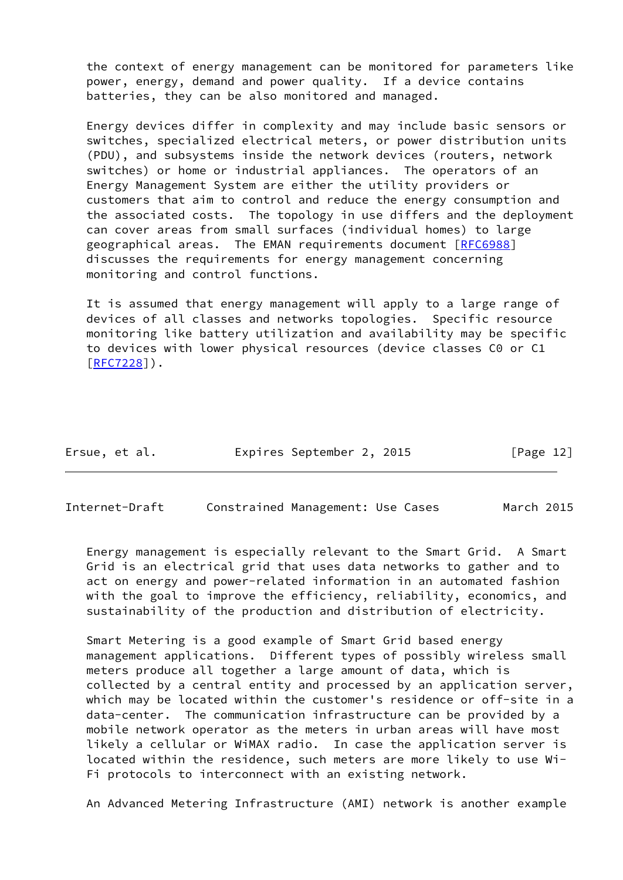the context of energy management can be monitored for parameters like power, energy, demand and power quality. If a device contains batteries, they can be also monitored and managed.

 Energy devices differ in complexity and may include basic sensors or switches, specialized electrical meters, or power distribution units (PDU), and subsystems inside the network devices (routers, network switches) or home or industrial appliances. The operators of an Energy Management System are either the utility providers or customers that aim to control and reduce the energy consumption and the associated costs. The topology in use differs and the deployment can cover areas from small surfaces (individual homes) to large geographical areas. The EMAN requirements document [\[RFC6988](https://datatracker.ietf.org/doc/pdf/rfc6988)] discusses the requirements for energy management concerning monitoring and control functions.

 It is assumed that energy management will apply to a large range of devices of all classes and networks topologies. Specific resource monitoring like battery utilization and availability may be specific to devices with lower physical resources (device classes C0 or C1 [\[RFC7228](https://datatracker.ietf.org/doc/pdf/rfc7228)]).

| Ersue, et al. | Expires September 2, 2015 | [Page 12] |
|---------------|---------------------------|-----------|
|---------------|---------------------------|-----------|

Internet-Draft Constrained Management: Use Cases March 2015

 Energy management is especially relevant to the Smart Grid. A Smart Grid is an electrical grid that uses data networks to gather and to act on energy and power-related information in an automated fashion with the goal to improve the efficiency, reliability, economics, and sustainability of the production and distribution of electricity.

 Smart Metering is a good example of Smart Grid based energy management applications. Different types of possibly wireless small meters produce all together a large amount of data, which is collected by a central entity and processed by an application server, which may be located within the customer's residence or off-site in a data-center. The communication infrastructure can be provided by a mobile network operator as the meters in urban areas will have most likely a cellular or WiMAX radio. In case the application server is located within the residence, such meters are more likely to use Wi- Fi protocols to interconnect with an existing network.

An Advanced Metering Infrastructure (AMI) network is another example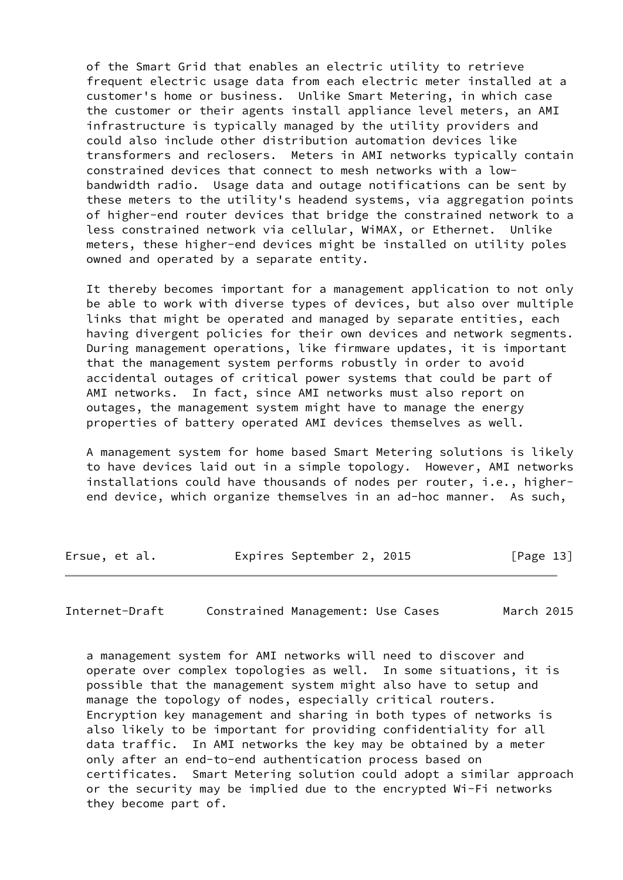of the Smart Grid that enables an electric utility to retrieve frequent electric usage data from each electric meter installed at a customer's home or business. Unlike Smart Metering, in which case the customer or their agents install appliance level meters, an AMI infrastructure is typically managed by the utility providers and could also include other distribution automation devices like transformers and reclosers. Meters in AMI networks typically contain constrained devices that connect to mesh networks with a low bandwidth radio. Usage data and outage notifications can be sent by these meters to the utility's headend systems, via aggregation points of higher-end router devices that bridge the constrained network to a less constrained network via cellular, WiMAX, or Ethernet. Unlike meters, these higher-end devices might be installed on utility poles owned and operated by a separate entity.

 It thereby becomes important for a management application to not only be able to work with diverse types of devices, but also over multiple links that might be operated and managed by separate entities, each having divergent policies for their own devices and network segments. During management operations, like firmware updates, it is important that the management system performs robustly in order to avoid accidental outages of critical power systems that could be part of AMI networks. In fact, since AMI networks must also report on outages, the management system might have to manage the energy properties of battery operated AMI devices themselves as well.

 A management system for home based Smart Metering solutions is likely to have devices laid out in a simple topology. However, AMI networks installations could have thousands of nodes per router, i.e., higher end device, which organize themselves in an ad-hoc manner. As such,

Ersue, et al. Expires September 2, 2015 [Page 13]

<span id="page-14-0"></span>Internet-Draft Constrained Management: Use Cases March 2015

 a management system for AMI networks will need to discover and operate over complex topologies as well. In some situations, it is possible that the management system might also have to setup and manage the topology of nodes, especially critical routers. Encryption key management and sharing in both types of networks is also likely to be important for providing confidentiality for all data traffic. In AMI networks the key may be obtained by a meter only after an end-to-end authentication process based on certificates. Smart Metering solution could adopt a similar approach or the security may be implied due to the encrypted Wi-Fi networks they become part of.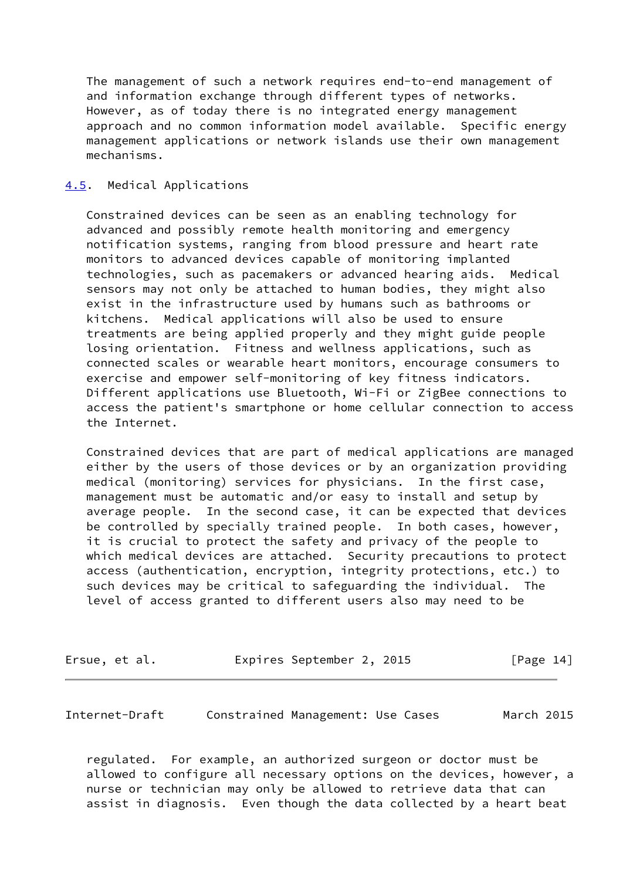The management of such a network requires end-to-end management of and information exchange through different types of networks. However, as of today there is no integrated energy management approach and no common information model available. Specific energy management applications or network islands use their own management mechanisms.

### <span id="page-15-0"></span>[4.5](#page-15-0). Medical Applications

 Constrained devices can be seen as an enabling technology for advanced and possibly remote health monitoring and emergency notification systems, ranging from blood pressure and heart rate monitors to advanced devices capable of monitoring implanted technologies, such as pacemakers or advanced hearing aids. Medical sensors may not only be attached to human bodies, they might also exist in the infrastructure used by humans such as bathrooms or kitchens. Medical applications will also be used to ensure treatments are being applied properly and they might guide people losing orientation. Fitness and wellness applications, such as connected scales or wearable heart monitors, encourage consumers to exercise and empower self-monitoring of key fitness indicators. Different applications use Bluetooth, Wi-Fi or ZigBee connections to access the patient's smartphone or home cellular connection to access the Internet.

 Constrained devices that are part of medical applications are managed either by the users of those devices or by an organization providing medical (monitoring) services for physicians. In the first case, management must be automatic and/or easy to install and setup by average people. In the second case, it can be expected that devices be controlled by specially trained people. In both cases, however, it is crucial to protect the safety and privacy of the people to which medical devices are attached. Security precautions to protect access (authentication, encryption, integrity protections, etc.) to such devices may be critical to safeguarding the individual. The level of access granted to different users also may need to be

| Ersue, et al. | Expires September 2, 2015 | [Page 14] |
|---------------|---------------------------|-----------|
|---------------|---------------------------|-----------|

<span id="page-15-1"></span>Internet-Draft Constrained Management: Use Cases March 2015

 regulated. For example, an authorized surgeon or doctor must be allowed to configure all necessary options on the devices, however, a nurse or technician may only be allowed to retrieve data that can assist in diagnosis. Even though the data collected by a heart beat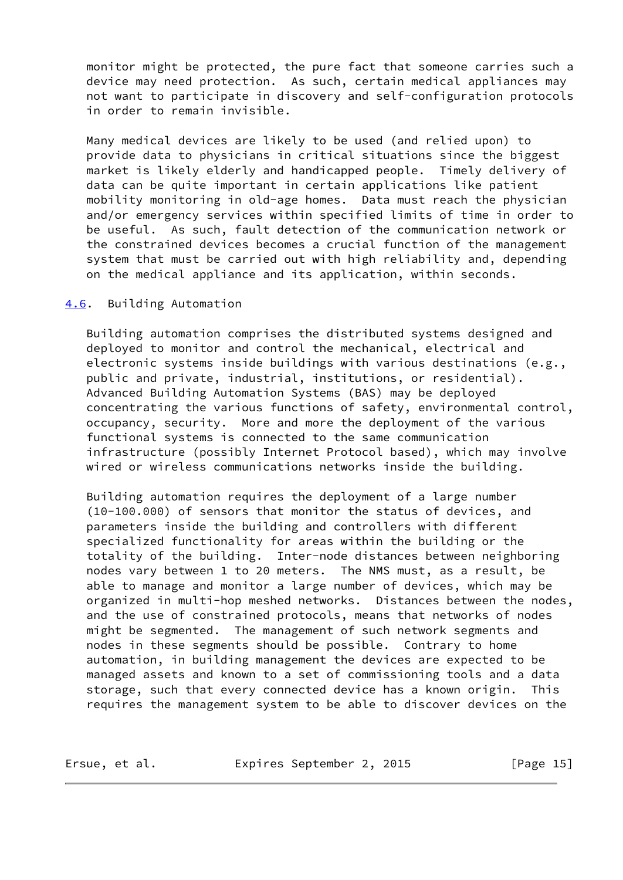monitor might be protected, the pure fact that someone carries such a device may need protection. As such, certain medical appliances may not want to participate in discovery and self-configuration protocols in order to remain invisible.

 Many medical devices are likely to be used (and relied upon) to provide data to physicians in critical situations since the biggest market is likely elderly and handicapped people. Timely delivery of data can be quite important in certain applications like patient mobility monitoring in old-age homes. Data must reach the physician and/or emergency services within specified limits of time in order to be useful. As such, fault detection of the communication network or the constrained devices becomes a crucial function of the management system that must be carried out with high reliability and, depending on the medical appliance and its application, within seconds.

#### <span id="page-16-0"></span>[4.6](#page-16-0). Building Automation

 Building automation comprises the distributed systems designed and deployed to monitor and control the mechanical, electrical and electronic systems inside buildings with various destinations (e.g., public and private, industrial, institutions, or residential). Advanced Building Automation Systems (BAS) may be deployed concentrating the various functions of safety, environmental control, occupancy, security. More and more the deployment of the various functional systems is connected to the same communication infrastructure (possibly Internet Protocol based), which may involve wired or wireless communications networks inside the building.

 Building automation requires the deployment of a large number (10-100.000) of sensors that monitor the status of devices, and parameters inside the building and controllers with different specialized functionality for areas within the building or the totality of the building. Inter-node distances between neighboring nodes vary between 1 to 20 meters. The NMS must, as a result, be able to manage and monitor a large number of devices, which may be organized in multi-hop meshed networks. Distances between the nodes, and the use of constrained protocols, means that networks of nodes might be segmented. The management of such network segments and nodes in these segments should be possible. Contrary to home automation, in building management the devices are expected to be managed assets and known to a set of commissioning tools and a data storage, such that every connected device has a known origin. This requires the management system to be able to discover devices on the

Ersue, et al. Expires September 2, 2015 [Page 15]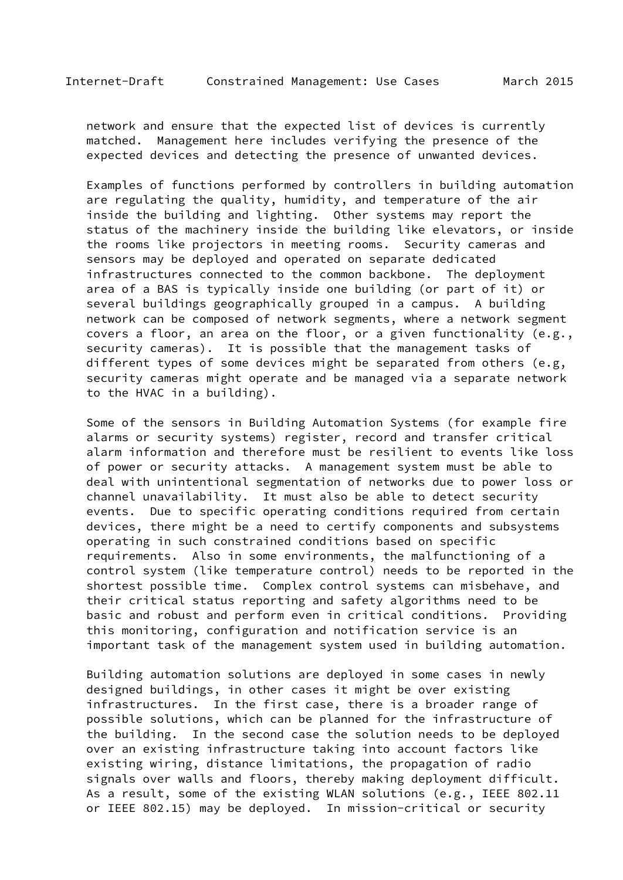network and ensure that the expected list of devices is currently matched. Management here includes verifying the presence of the expected devices and detecting the presence of unwanted devices.

 Examples of functions performed by controllers in building automation are regulating the quality, humidity, and temperature of the air inside the building and lighting. Other systems may report the status of the machinery inside the building like elevators, or inside the rooms like projectors in meeting rooms. Security cameras and sensors may be deployed and operated on separate dedicated infrastructures connected to the common backbone. The deployment area of a BAS is typically inside one building (or part of it) or several buildings geographically grouped in a campus. A building network can be composed of network segments, where a network segment covers a floor, an area on the floor, or a given functionality (e.g., security cameras). It is possible that the management tasks of different types of some devices might be separated from others (e.g, security cameras might operate and be managed via a separate network to the HVAC in a building).

 Some of the sensors in Building Automation Systems (for example fire alarms or security systems) register, record and transfer critical alarm information and therefore must be resilient to events like loss of power or security attacks. A management system must be able to deal with unintentional segmentation of networks due to power loss or channel unavailability. It must also be able to detect security events. Due to specific operating conditions required from certain devices, there might be a need to certify components and subsystems operating in such constrained conditions based on specific requirements. Also in some environments, the malfunctioning of a control system (like temperature control) needs to be reported in the shortest possible time. Complex control systems can misbehave, and their critical status reporting and safety algorithms need to be basic and robust and perform even in critical conditions. Providing this monitoring, configuration and notification service is an important task of the management system used in building automation.

 Building automation solutions are deployed in some cases in newly designed buildings, in other cases it might be over existing infrastructures. In the first case, there is a broader range of possible solutions, which can be planned for the infrastructure of the building. In the second case the solution needs to be deployed over an existing infrastructure taking into account factors like existing wiring, distance limitations, the propagation of radio signals over walls and floors, thereby making deployment difficult. As a result, some of the existing WLAN solutions (e.g., IEEE 802.11 or IEEE 802.15) may be deployed. In mission-critical or security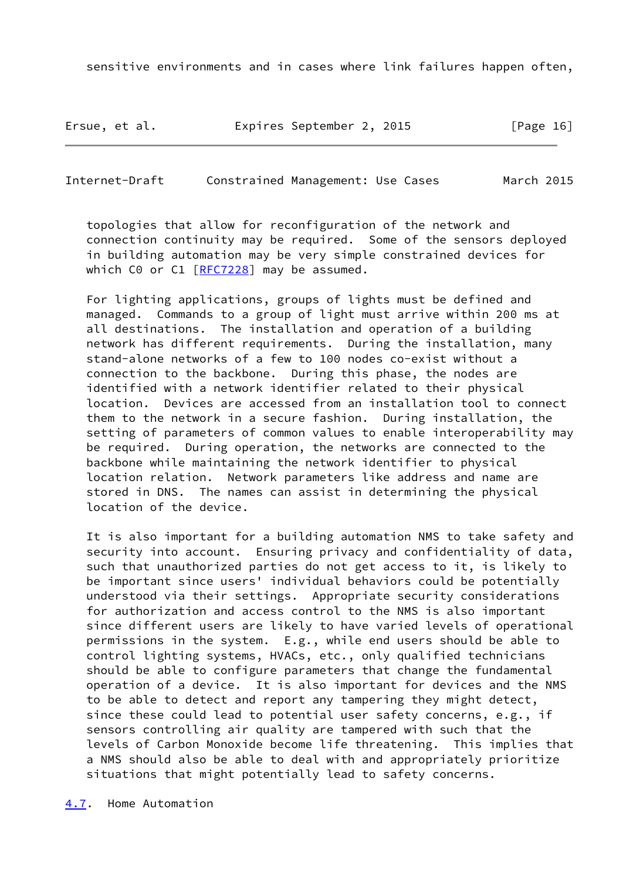sensitive environments and in cases where link failures happen often,

Ersue, et al. Expires September 2, 2015 [Page 16]

<span id="page-18-1"></span>Internet-Draft Constrained Management: Use Cases March 2015

 topologies that allow for reconfiguration of the network and connection continuity may be required. Some of the sensors deployed in building automation may be very simple constrained devices for which C0 or C1 [\[RFC7228](https://datatracker.ietf.org/doc/pdf/rfc7228)] may be assumed.

 For lighting applications, groups of lights must be defined and managed. Commands to a group of light must arrive within 200 ms at all destinations. The installation and operation of a building network has different requirements. During the installation, many stand-alone networks of a few to 100 nodes co-exist without a connection to the backbone. During this phase, the nodes are identified with a network identifier related to their physical location. Devices are accessed from an installation tool to connect them to the network in a secure fashion. During installation, the setting of parameters of common values to enable interoperability may be required. During operation, the networks are connected to the backbone while maintaining the network identifier to physical location relation. Network parameters like address and name are stored in DNS. The names can assist in determining the physical location of the device.

<span id="page-18-0"></span> It is also important for a building automation NMS to take safety and security into account. Ensuring privacy and confidentiality of data, such that unauthorized parties do not get access to it, is likely to be important since users' individual behaviors could be potentially understood via their settings. Appropriate security considerations for authorization and access control to the NMS is also important since different users are likely to have varied levels of operational permissions in the system. E.g., while end users should be able to control lighting systems, HVACs, etc., only qualified technicians should be able to configure parameters that change the fundamental operation of a device. It is also important for devices and the NMS to be able to detect and report any tampering they might detect, since these could lead to potential user safety concerns, e.g., if sensors controlling air quality are tampered with such that the levels of Carbon Monoxide become life threatening. This implies that a NMS should also be able to deal with and appropriately prioritize situations that might potentially lead to safety concerns.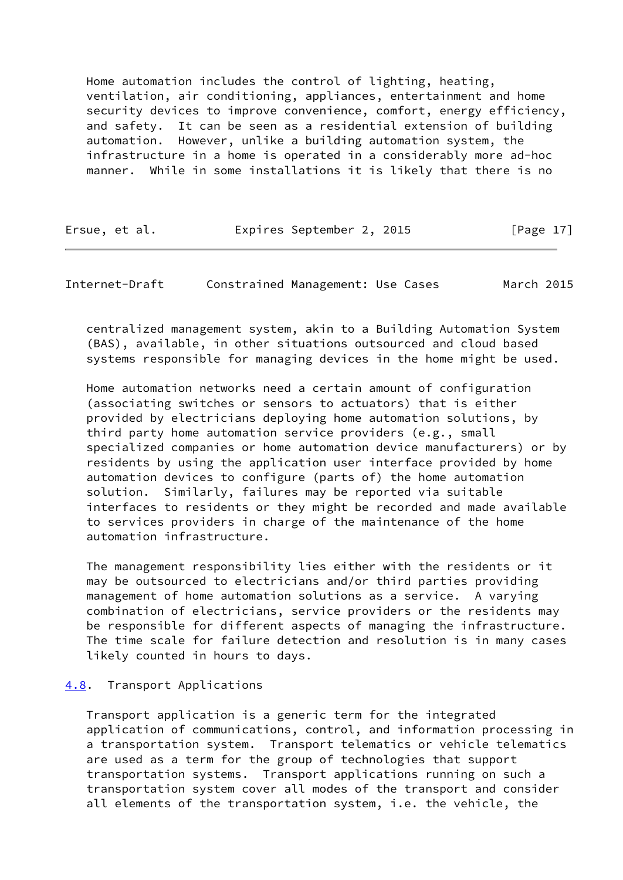Home automation includes the control of lighting, heating, ventilation, air conditioning, appliances, entertainment and home security devices to improve convenience, comfort, energy efficiency, and safety. It can be seen as a residential extension of building automation. However, unlike a building automation system, the infrastructure in a home is operated in a considerably more ad-hoc manner. While in some installations it is likely that there is no

Ersue, et al. Expires September 2, 2015 [Page 17]

<span id="page-19-1"></span>Internet-Draft Constrained Management: Use Cases March 2015

 centralized management system, akin to a Building Automation System (BAS), available, in other situations outsourced and cloud based systems responsible for managing devices in the home might be used.

 Home automation networks need a certain amount of configuration (associating switches or sensors to actuators) that is either provided by electricians deploying home automation solutions, by third party home automation service providers (e.g., small specialized companies or home automation device manufacturers) or by residents by using the application user interface provided by home automation devices to configure (parts of) the home automation solution. Similarly, failures may be reported via suitable interfaces to residents or they might be recorded and made available to services providers in charge of the maintenance of the home automation infrastructure.

 The management responsibility lies either with the residents or it may be outsourced to electricians and/or third parties providing management of home automation solutions as a service. A varying combination of electricians, service providers or the residents may be responsible for different aspects of managing the infrastructure. The time scale for failure detection and resolution is in many cases likely counted in hours to days.

# <span id="page-19-0"></span>[4.8](#page-19-0). Transport Applications

 Transport application is a generic term for the integrated application of communications, control, and information processing in a transportation system. Transport telematics or vehicle telematics are used as a term for the group of technologies that support transportation systems. Transport applications running on such a transportation system cover all modes of the transport and consider all elements of the transportation system, i.e. the vehicle, the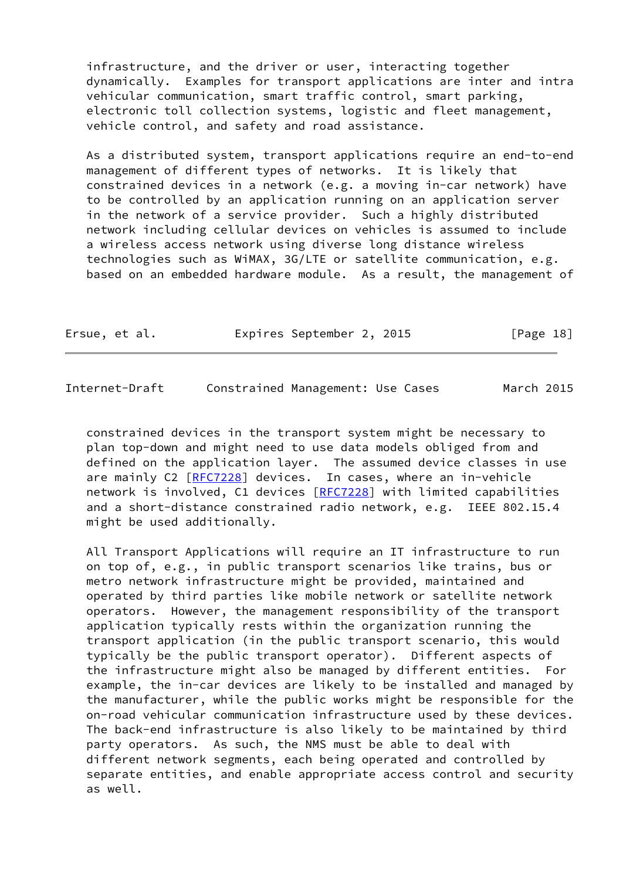infrastructure, and the driver or user, interacting together dynamically. Examples for transport applications are inter and intra vehicular communication, smart traffic control, smart parking, electronic toll collection systems, logistic and fleet management, vehicle control, and safety and road assistance.

 As a distributed system, transport applications require an end-to-end management of different types of networks. It is likely that constrained devices in a network (e.g. a moving in-car network) have to be controlled by an application running on an application server in the network of a service provider. Such a highly distributed network including cellular devices on vehicles is assumed to include a wireless access network using diverse long distance wireless technologies such as WiMAX, 3G/LTE or satellite communication, e.g. based on an embedded hardware module. As a result, the management of

| Ersue, et al. |  |  | Expires September 2, 2015 |  |  | [Page 18] |  |
|---------------|--|--|---------------------------|--|--|-----------|--|
|---------------|--|--|---------------------------|--|--|-----------|--|

Internet-Draft Constrained Management: Use Cases March 2015

 constrained devices in the transport system might be necessary to plan top-down and might need to use data models obliged from and defined on the application layer. The assumed device classes in use are mainly C2 [[RFC7228](https://datatracker.ietf.org/doc/pdf/rfc7228)] devices. In cases, where an in-vehicle network is involved, C1 devices [\[RFC7228](https://datatracker.ietf.org/doc/pdf/rfc7228)] with limited capabilities and a short-distance constrained radio network, e.g. IEEE 802.15.4 might be used additionally.

 All Transport Applications will require an IT infrastructure to run on top of, e.g., in public transport scenarios like trains, bus or metro network infrastructure might be provided, maintained and operated by third parties like mobile network or satellite network operators. However, the management responsibility of the transport application typically rests within the organization running the transport application (in the public transport scenario, this would typically be the public transport operator). Different aspects of the infrastructure might also be managed by different entities. For example, the in-car devices are likely to be installed and managed by the manufacturer, while the public works might be responsible for the on-road vehicular communication infrastructure used by these devices. The back-end infrastructure is also likely to be maintained by third party operators. As such, the NMS must be able to deal with different network segments, each being operated and controlled by separate entities, and enable appropriate access control and security as well.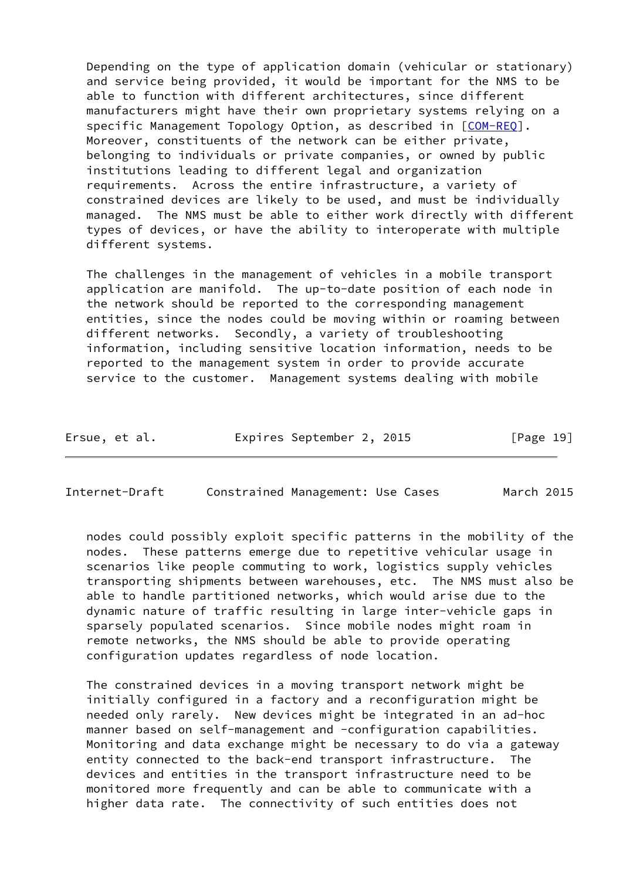Depending on the type of application domain (vehicular or stationary) and service being provided, it would be important for the NMS to be able to function with different architectures, since different manufacturers might have their own proprietary systems relying on a specific Management Topology Option, as described in [\[COM-REQ](#page-27-2)]. Moreover, constituents of the network can be either private, belonging to individuals or private companies, or owned by public institutions leading to different legal and organization requirements. Across the entire infrastructure, a variety of constrained devices are likely to be used, and must be individually managed. The NMS must be able to either work directly with different types of devices, or have the ability to interoperate with multiple different systems.

 The challenges in the management of vehicles in a mobile transport application are manifold. The up-to-date position of each node in the network should be reported to the corresponding management entities, since the nodes could be moving within or roaming between different networks. Secondly, a variety of troubleshooting information, including sensitive location information, needs to be reported to the management system in order to provide accurate service to the customer. Management systems dealing with mobile

| Ersue, et al. | Expires September 2, 2015 |  |  | [Page 19] |  |
|---------------|---------------------------|--|--|-----------|--|
|---------------|---------------------------|--|--|-----------|--|

<span id="page-21-0"></span>Internet-Draft Constrained Management: Use Cases March 2015

 nodes could possibly exploit specific patterns in the mobility of the nodes. These patterns emerge due to repetitive vehicular usage in scenarios like people commuting to work, logistics supply vehicles transporting shipments between warehouses, etc. The NMS must also be able to handle partitioned networks, which would arise due to the dynamic nature of traffic resulting in large inter-vehicle gaps in sparsely populated scenarios. Since mobile nodes might roam in remote networks, the NMS should be able to provide operating configuration updates regardless of node location.

 The constrained devices in a moving transport network might be initially configured in a factory and a reconfiguration might be needed only rarely. New devices might be integrated in an ad-hoc manner based on self-management and -configuration capabilities. Monitoring and data exchange might be necessary to do via a gateway entity connected to the back-end transport infrastructure. The devices and entities in the transport infrastructure need to be monitored more frequently and can be able to communicate with a higher data rate. The connectivity of such entities does not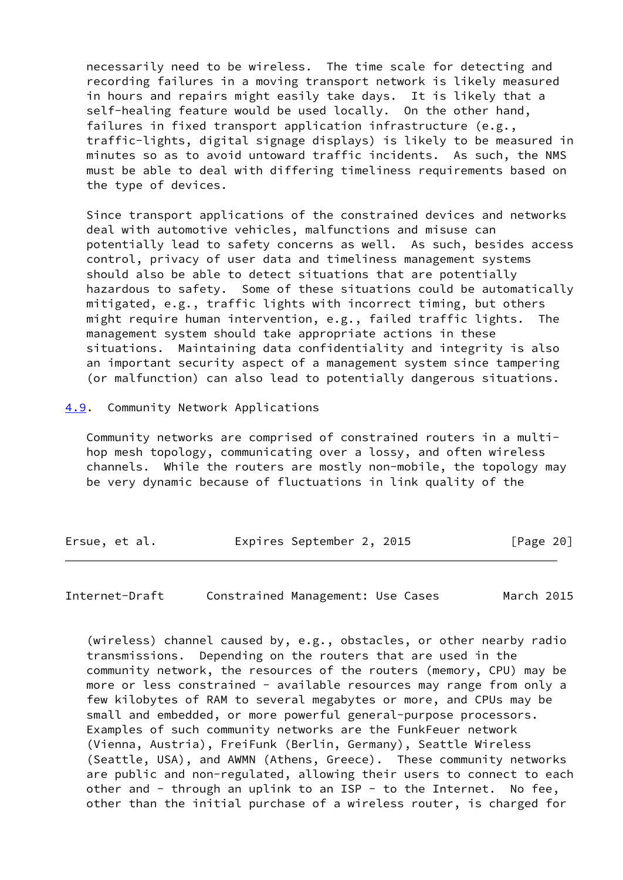necessarily need to be wireless. The time scale for detecting and recording failures in a moving transport network is likely measured in hours and repairs might easily take days. It is likely that a self-healing feature would be used locally. On the other hand, failures in fixed transport application infrastructure (e.g., traffic-lights, digital signage displays) is likely to be measured in minutes so as to avoid untoward traffic incidents. As such, the NMS must be able to deal with differing timeliness requirements based on the type of devices.

 Since transport applications of the constrained devices and networks deal with automotive vehicles, malfunctions and misuse can potentially lead to safety concerns as well. As such, besides access control, privacy of user data and timeliness management systems should also be able to detect situations that are potentially hazardous to safety. Some of these situations could be automatically mitigated, e.g., traffic lights with incorrect timing, but others might require human intervention, e.g., failed traffic lights. The management system should take appropriate actions in these situations. Maintaining data confidentiality and integrity is also an important security aspect of a management system since tampering (or malfunction) can also lead to potentially dangerous situations.

<span id="page-22-0"></span>[4.9](#page-22-0). Community Network Applications

 Community networks are comprised of constrained routers in a multi hop mesh topology, communicating over a lossy, and often wireless channels. While the routers are mostly non-mobile, the topology may be very dynamic because of fluctuations in link quality of the

| Ersue, et al. | Expires September 2, 2015 | [Page 20] |
|---------------|---------------------------|-----------|
|---------------|---------------------------|-----------|

Internet-Draft Constrained Management: Use Cases March 2015

 (wireless) channel caused by, e.g., obstacles, or other nearby radio transmissions. Depending on the routers that are used in the community network, the resources of the routers (memory, CPU) may be more or less constrained - available resources may range from only a few kilobytes of RAM to several megabytes or more, and CPUs may be small and embedded, or more powerful general-purpose processors. Examples of such community networks are the FunkFeuer network (Vienna, Austria), FreiFunk (Berlin, Germany), Seattle Wireless (Seattle, USA), and AWMN (Athens, Greece). These community networks are public and non-regulated, allowing their users to connect to each other and - through an uplink to an ISP - to the Internet. No fee, other than the initial purchase of a wireless router, is charged for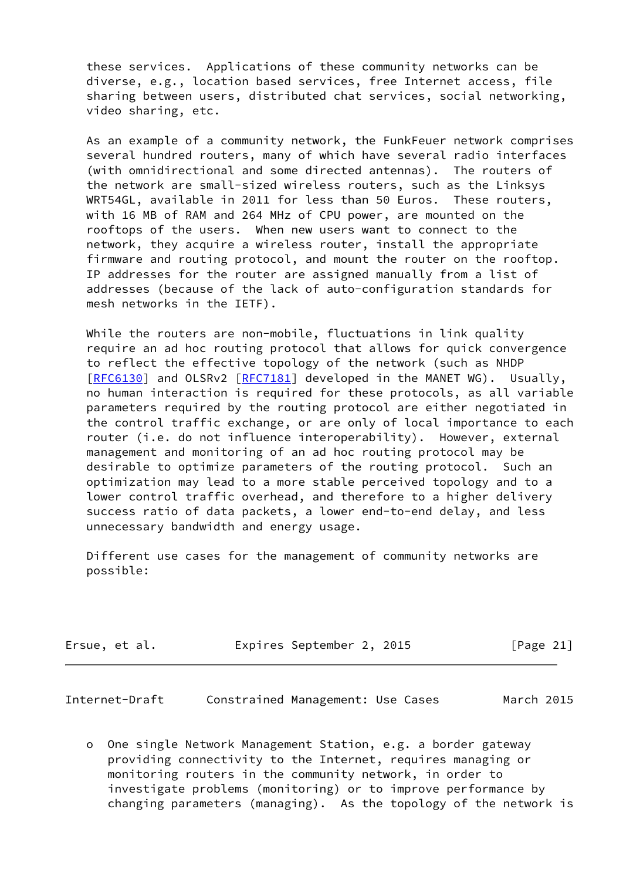these services. Applications of these community networks can be diverse, e.g., location based services, free Internet access, file sharing between users, distributed chat services, social networking, video sharing, etc.

 As an example of a community network, the FunkFeuer network comprises several hundred routers, many of which have several radio interfaces (with omnidirectional and some directed antennas). The routers of the network are small-sized wireless routers, such as the Linksys WRT54GL, available in 2011 for less than 50 Euros. These routers, with 16 MB of RAM and 264 MHz of CPU power, are mounted on the rooftops of the users. When new users want to connect to the network, they acquire a wireless router, install the appropriate firmware and routing protocol, and mount the router on the rooftop. IP addresses for the router are assigned manually from a list of addresses (because of the lack of auto-configuration standards for mesh networks in the IETF).

While the routers are non-mobile, fluctuations in link quality require an ad hoc routing protocol that allows for quick convergence to reflect the effective topology of the network (such as NHDP [\[RFC6130](https://datatracker.ietf.org/doc/pdf/rfc6130)] and OLSRv2 [\[RFC7181](https://datatracker.ietf.org/doc/pdf/rfc7181)] developed in the MANET WG). Usually, no human interaction is required for these protocols, as all variable parameters required by the routing protocol are either negotiated in the control traffic exchange, or are only of local importance to each router (i.e. do not influence interoperability). However, external management and monitoring of an ad hoc routing protocol may be desirable to optimize parameters of the routing protocol. Such an optimization may lead to a more stable perceived topology and to a lower control traffic overhead, and therefore to a higher delivery success ratio of data packets, a lower end-to-end delay, and less unnecessary bandwidth and energy usage.

 Different use cases for the management of community networks are possible:

| Ersue, et al. |  | Expires September 2, 2015 |  | [Page 21] |  |
|---------------|--|---------------------------|--|-----------|--|
|---------------|--|---------------------------|--|-----------|--|

<span id="page-23-0"></span>Internet-Draft Constrained Management: Use Cases March 2015

 o One single Network Management Station, e.g. a border gateway providing connectivity to the Internet, requires managing or monitoring routers in the community network, in order to investigate problems (monitoring) or to improve performance by changing parameters (managing). As the topology of the network is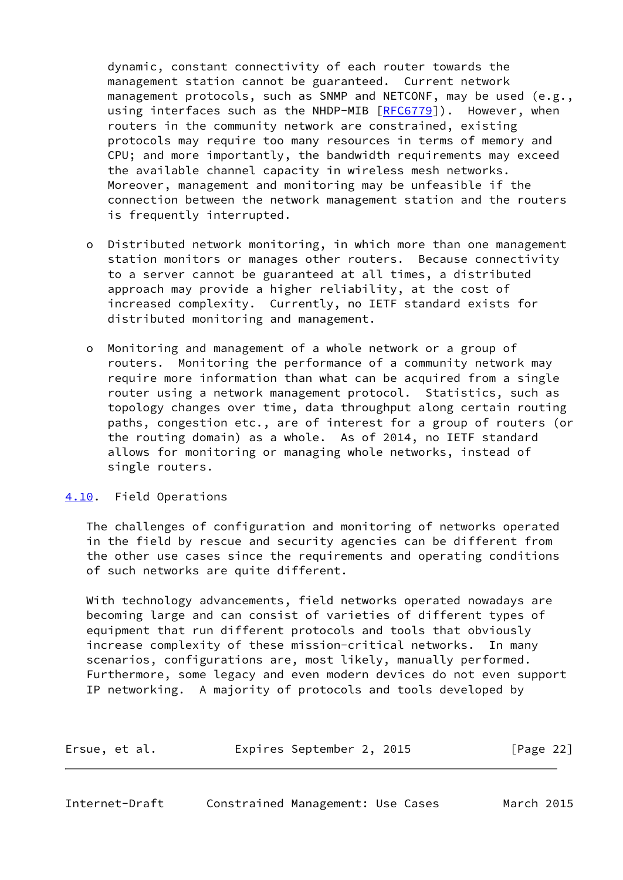dynamic, constant connectivity of each router towards the management station cannot be guaranteed. Current network management protocols, such as SNMP and NETCONF, may be used (e.g., using interfaces such as the NHDP-MIB [\[RFC6779](https://datatracker.ietf.org/doc/pdf/rfc6779)]). However, when routers in the community network are constrained, existing protocols may require too many resources in terms of memory and CPU; and more importantly, the bandwidth requirements may exceed the available channel capacity in wireless mesh networks. Moreover, management and monitoring may be unfeasible if the connection between the network management station and the routers is frequently interrupted.

- o Distributed network monitoring, in which more than one management station monitors or manages other routers. Because connectivity to a server cannot be guaranteed at all times, a distributed approach may provide a higher reliability, at the cost of increased complexity. Currently, no IETF standard exists for distributed monitoring and management.
- o Monitoring and management of a whole network or a group of routers. Monitoring the performance of a community network may require more information than what can be acquired from a single router using a network management protocol. Statistics, such as topology changes over time, data throughput along certain routing paths, congestion etc., are of interest for a group of routers (or the routing domain) as a whole. As of 2014, no IETF standard allows for monitoring or managing whole networks, instead of single routers.

# <span id="page-24-0"></span>[4.10](#page-24-0). Field Operations

 The challenges of configuration and monitoring of networks operated in the field by rescue and security agencies can be different from the other use cases since the requirements and operating conditions of such networks are quite different.

 With technology advancements, field networks operated nowadays are becoming large and can consist of varieties of different types of equipment that run different protocols and tools that obviously increase complexity of these mission-critical networks. In many scenarios, configurations are, most likely, manually performed. Furthermore, some legacy and even modern devices do not even support IP networking. A majority of protocols and tools developed by

<span id="page-24-1"></span>

| Ersue, et al. | Expires September 2, 2015 |  | [Page 22] |  |
|---------------|---------------------------|--|-----------|--|
|               |                           |  |           |  |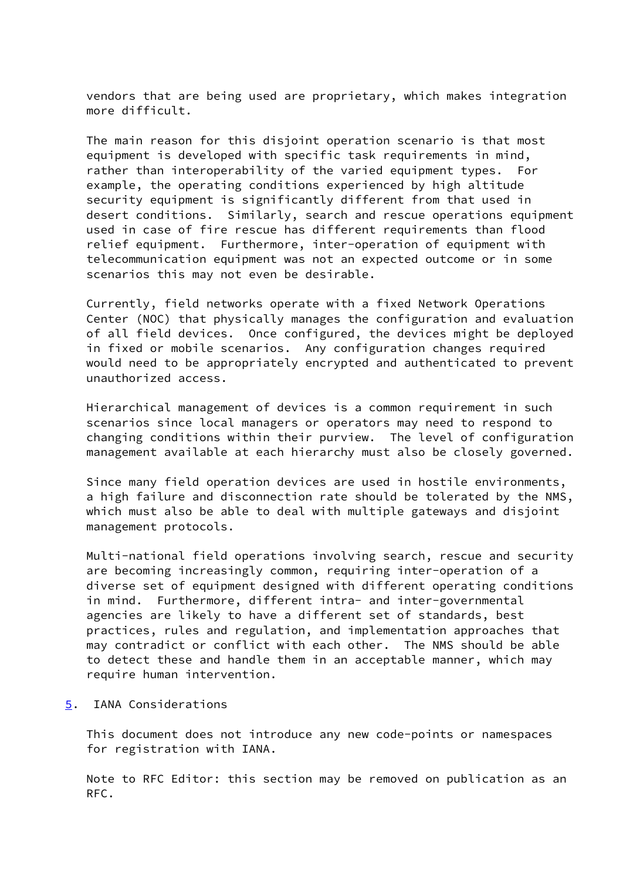vendors that are being used are proprietary, which makes integration more difficult.

 The main reason for this disjoint operation scenario is that most equipment is developed with specific task requirements in mind, rather than interoperability of the varied equipment types. For example, the operating conditions experienced by high altitude security equipment is significantly different from that used in desert conditions. Similarly, search and rescue operations equipment used in case of fire rescue has different requirements than flood relief equipment. Furthermore, inter-operation of equipment with telecommunication equipment was not an expected outcome or in some scenarios this may not even be desirable.

 Currently, field networks operate with a fixed Network Operations Center (NOC) that physically manages the configuration and evaluation of all field devices. Once configured, the devices might be deployed in fixed or mobile scenarios. Any configuration changes required would need to be appropriately encrypted and authenticated to prevent unauthorized access.

 Hierarchical management of devices is a common requirement in such scenarios since local managers or operators may need to respond to changing conditions within their purview. The level of configuration management available at each hierarchy must also be closely governed.

 Since many field operation devices are used in hostile environments, a high failure and disconnection rate should be tolerated by the NMS, which must also be able to deal with multiple gateways and disjoint management protocols.

 Multi-national field operations involving search, rescue and security are becoming increasingly common, requiring inter-operation of a diverse set of equipment designed with different operating conditions in mind. Furthermore, different intra- and inter-governmental agencies are likely to have a different set of standards, best practices, rules and regulation, and implementation approaches that may contradict or conflict with each other. The NMS should be able to detect these and handle them in an acceptable manner, which may require human intervention.

<span id="page-25-0"></span>[5](#page-25-0). IANA Considerations

 This document does not introduce any new code-points or namespaces for registration with IANA.

 Note to RFC Editor: this section may be removed on publication as an RFC.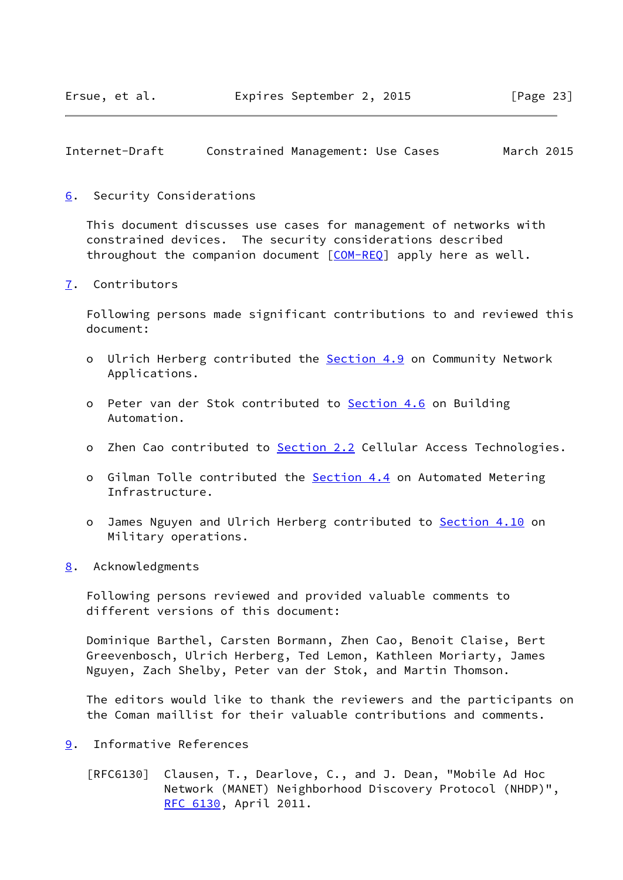<span id="page-26-1"></span>Internet-Draft Constrained Management: Use Cases March 2015

<span id="page-26-0"></span>[6](#page-26-0). Security Considerations

 This document discusses use cases for management of networks with constrained devices. The security considerations described throughout the companion document [[COM-REQ](#page-27-2)] apply here as well.

<span id="page-26-2"></span>[7](#page-26-2). Contributors

 Following persons made significant contributions to and reviewed this document:

- o Ulrich Herberg contributed the [Section 4.9](#page-22-0) on Community Network Applications.
- o Peter van der Stok contributed to [Section 4.6](#page-16-0) on Building Automation.
- o Zhen Cao contributed to [Section 2.2](#page-4-1) Cellular Access Technologies.
- o Gilman Tolle contributed the [Section 4.4](#page-12-0) on Automated Metering Infrastructure.
- o James Nguyen and Ulrich Herberg contributed to **Section 4.10** on Military operations.
- <span id="page-26-3"></span>[8](#page-26-3). Acknowledgments

 Following persons reviewed and provided valuable comments to different versions of this document:

 Dominique Barthel, Carsten Bormann, Zhen Cao, Benoit Claise, Bert Greevenbosch, Ulrich Herberg, Ted Lemon, Kathleen Moriarty, James Nguyen, Zach Shelby, Peter van der Stok, and Martin Thomson.

 The editors would like to thank the reviewers and the participants on the Coman maillist for their valuable contributions and comments.

- <span id="page-26-4"></span>[9](#page-26-4). Informative References
	- [RFC6130] Clausen, T., Dearlove, C., and J. Dean, "Mobile Ad Hoc Network (MANET) Neighborhood Discovery Protocol (NHDP)", [RFC 6130,](https://datatracker.ietf.org/doc/pdf/rfc6130) April 2011.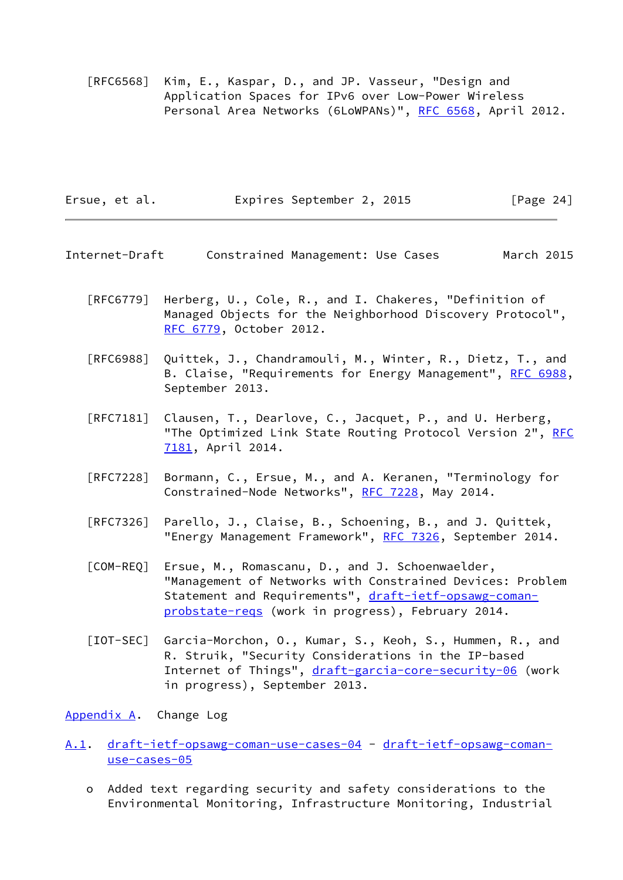[RFC6568] Kim, E., Kaspar, D., and JP. Vasseur, "Design and Application Spaces for IPv6 over Low-Power Wireless Personal Area Networks (6LoWPANs)", [RFC 6568,](https://datatracker.ietf.org/doc/pdf/rfc6568) April 2012.

| Expires September 2, 2015<br>Ersue, et al. |  | [Page 24] |
|--------------------------------------------|--|-----------|
|--------------------------------------------|--|-----------|

- <span id="page-27-1"></span>Internet-Draft Constrained Management: Use Cases March 2015
	- [RFC6779] Herberg, U., Cole, R., and I. Chakeres, "Definition of Managed Objects for the Neighborhood Discovery Protocol", [RFC 6779,](https://datatracker.ietf.org/doc/pdf/rfc6779) October 2012.
	- [RFC6988] Quittek, J., Chandramouli, M., Winter, R., Dietz, T., and B. Claise, "Requirements for Energy Management", [RFC 6988,](https://datatracker.ietf.org/doc/pdf/rfc6988) September 2013.
	- [RFC7181] Clausen, T., Dearlove, C., Jacquet, P., and U. Herberg, "The Optimized Link State Routing Protocol Version 2", [RFC](https://datatracker.ietf.org/doc/pdf/rfc7181) [7181,](https://datatracker.ietf.org/doc/pdf/rfc7181) April 2014.
	- [RFC7228] Bormann, C., Ersue, M., and A. Keranen, "Terminology for Constrained-Node Networks", [RFC 7228,](https://datatracker.ietf.org/doc/pdf/rfc7228) May 2014.
	- [RFC7326] Parello, J., Claise, B., Schoening, B., and J. Quittek, "Energy Management Framework", [RFC 7326](https://datatracker.ietf.org/doc/pdf/rfc7326), September 2014.
	- [COM-REQ] Ersue, M., Romascanu, D., and J. Schoenwaelder, "Management of Networks with Constrained Devices: Problem Statement and Requirements", [draft-ietf-opsawg-coman](https://datatracker.ietf.org/doc/pdf/draft-ietf-opsawg-coman-probstate-reqs) [probstate-reqs](https://datatracker.ietf.org/doc/pdf/draft-ietf-opsawg-coman-probstate-reqs) (work in progress), February 2014.
	- [IOT-SEC] Garcia-Morchon, O., Kumar, S., Keoh, S., Hummen, R., and R. Struik, "Security Considerations in the IP-based Internet of Things", [draft-garcia-core-security-06](https://datatracker.ietf.org/doc/pdf/draft-garcia-core-security-06) (work in progress), September 2013.

<span id="page-27-3"></span><span id="page-27-2"></span><span id="page-27-0"></span>[Appendix A.](#page-27-0) Change Log

- <span id="page-27-4"></span>[A.1](#page-27-4). [draft-ietf-opsawg-coman-use-cases-04](https://datatracker.ietf.org/doc/pdf/draft-ietf-opsawg-coman-use-cases-04) - [draft-ietf-opsawg-coman](https://datatracker.ietf.org/doc/pdf/draft-ietf-opsawg-coman-use-cases-05) [use-cases-05](https://datatracker.ietf.org/doc/pdf/draft-ietf-opsawg-coman-use-cases-05)
	- o Added text regarding security and safety considerations to the Environmental Monitoring, Infrastructure Monitoring, Industrial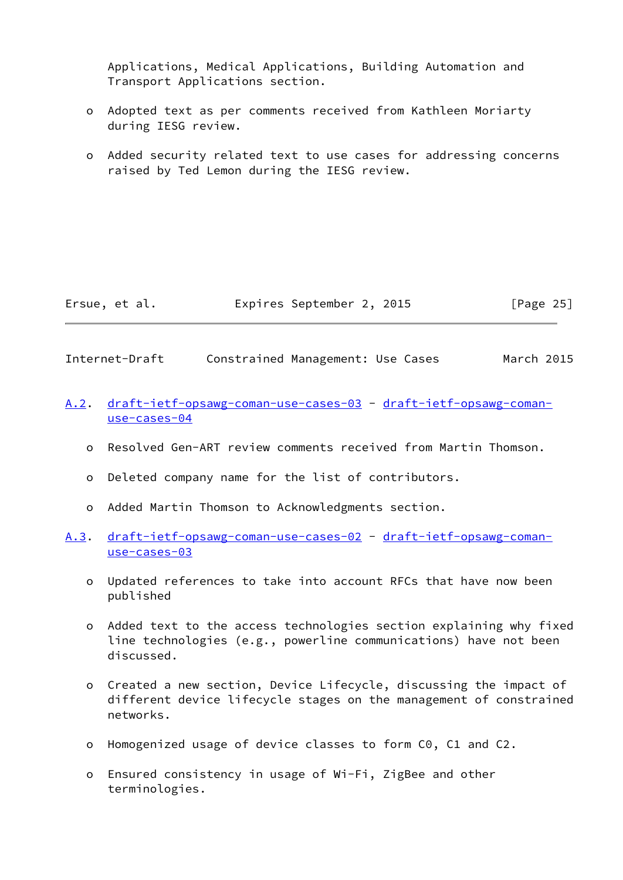Applications, Medical Applications, Building Automation and Transport Applications section.

- o Adopted text as per comments received from Kathleen Moriarty during IESG review.
- o Added security related text to use cases for addressing concerns raised by Ted Lemon during the IESG review.

| Ersue, et al. | Expires September 2, 2015 | [Page 25] |
|---------------|---------------------------|-----------|
|---------------|---------------------------|-----------|

- <span id="page-28-0"></span>Internet-Draft Constrained Management: Use Cases March 2015
- <span id="page-28-1"></span>[A.2](#page-28-1). [draft-ietf-opsawg-coman-use-cases-03](https://datatracker.ietf.org/doc/pdf/draft-ietf-opsawg-coman-use-cases-03) - [draft-ietf-opsawg-coman](https://datatracker.ietf.org/doc/pdf/draft-ietf-opsawg-coman-use-cases-04) [use-cases-04](https://datatracker.ietf.org/doc/pdf/draft-ietf-opsawg-coman-use-cases-04)
	- o Resolved Gen-ART review comments received from Martin Thomson.
	- o Deleted company name for the list of contributors.
	- o Added Martin Thomson to Acknowledgments section.
- <span id="page-28-2"></span>[A.3](#page-28-2). [draft-ietf-opsawg-coman-use-cases-02](https://datatracker.ietf.org/doc/pdf/draft-ietf-opsawg-coman-use-cases-02) - [draft-ietf-opsawg-coman](https://datatracker.ietf.org/doc/pdf/draft-ietf-opsawg-coman-use-cases-03) [use-cases-03](https://datatracker.ietf.org/doc/pdf/draft-ietf-opsawg-coman-use-cases-03)
	- o Updated references to take into account RFCs that have now been published
	- o Added text to the access technologies section explaining why fixed line technologies (e.g., powerline communications) have not been discussed.
	- o Created a new section, Device Lifecycle, discussing the impact of different device lifecycle stages on the management of constrained networks.
	- o Homogenized usage of device classes to form C0, C1 and C2.
	- o Ensured consistency in usage of Wi-Fi, ZigBee and other terminologies.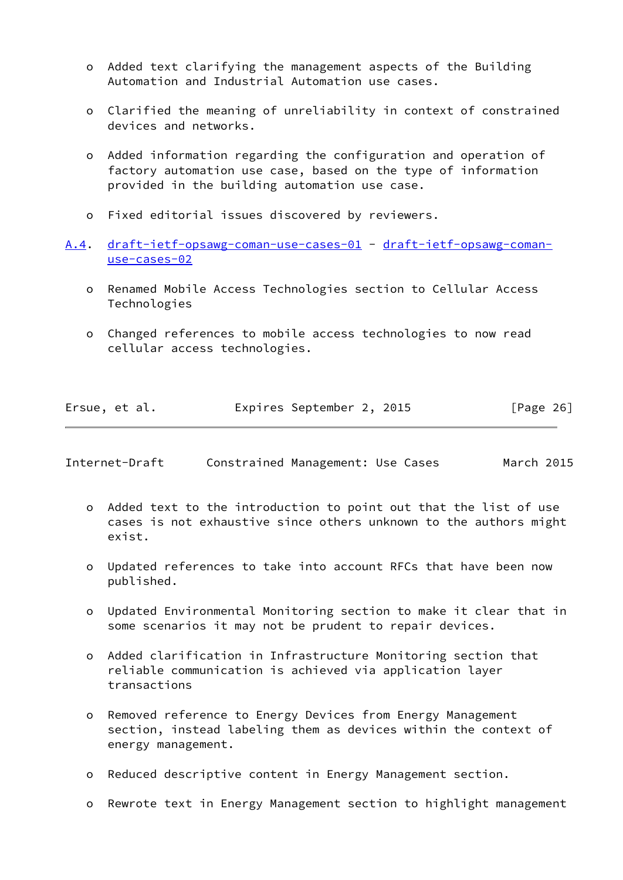- o Added text clarifying the management aspects of the Building Automation and Industrial Automation use cases.
- o Clarified the meaning of unreliability in context of constrained devices and networks.
- o Added information regarding the configuration and operation of factory automation use case, based on the type of information provided in the building automation use case.
- o Fixed editorial issues discovered by reviewers.
- <span id="page-29-0"></span>[A.4](#page-29-0). [draft-ietf-opsawg-coman-use-cases-01](https://datatracker.ietf.org/doc/pdf/draft-ietf-opsawg-coman-use-cases-01) - [draft-ietf-opsawg-coman](https://datatracker.ietf.org/doc/pdf/draft-ietf-opsawg-coman-use-cases-02) [use-cases-02](https://datatracker.ietf.org/doc/pdf/draft-ietf-opsawg-coman-use-cases-02)
	- o Renamed Mobile Access Technologies section to Cellular Access Technologies
	- o Changed references to mobile access technologies to now read cellular access technologies.

| Ersue, et al. | Expires September 2, 2015 | [Page 26] |
|---------------|---------------------------|-----------|
|---------------|---------------------------|-----------|

Internet-Draft Constrained Management: Use Cases March 2015

- o Added text to the introduction to point out that the list of use cases is not exhaustive since others unknown to the authors might exist.
- o Updated references to take into account RFCs that have been now published.
- o Updated Environmental Monitoring section to make it clear that in some scenarios it may not be prudent to repair devices.
- o Added clarification in Infrastructure Monitoring section that reliable communication is achieved via application layer transactions
- o Removed reference to Energy Devices from Energy Management section, instead labeling them as devices within the context of energy management.
- o Reduced descriptive content in Energy Management section.
- o Rewrote text in Energy Management section to highlight management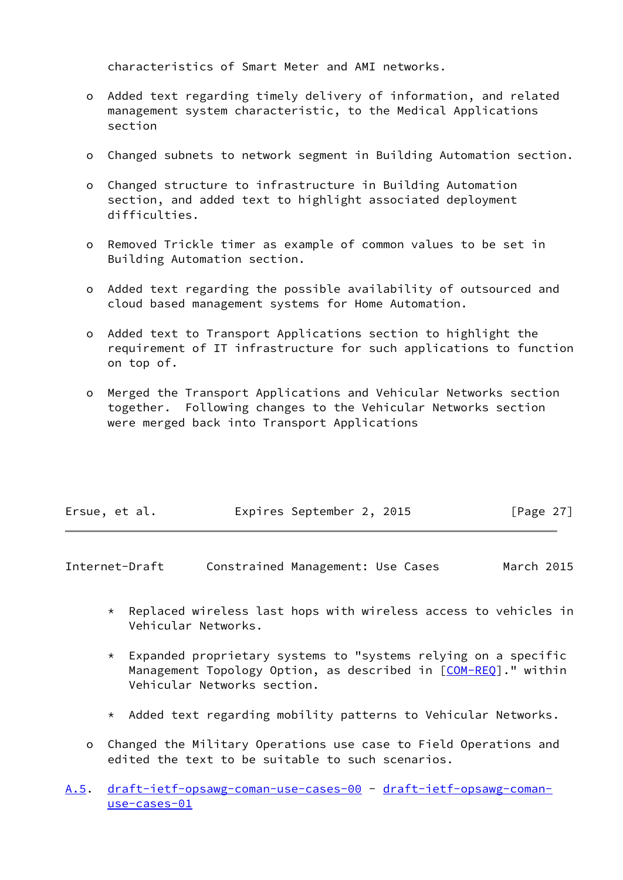characteristics of Smart Meter and AMI networks.

- o Added text regarding timely delivery of information, and related management system characteristic, to the Medical Applications section
- o Changed subnets to network segment in Building Automation section.
- o Changed structure to infrastructure in Building Automation section, and added text to highlight associated deployment difficulties.
- o Removed Trickle timer as example of common values to be set in Building Automation section.
- o Added text regarding the possible availability of outsourced and cloud based management systems for Home Automation.
- o Added text to Transport Applications section to highlight the requirement of IT infrastructure for such applications to function on top of.
- o Merged the Transport Applications and Vehicular Networks section together. Following changes to the Vehicular Networks section were merged back into Transport Applications

| Ersue, et al. | Expires September 2, 2015 | [Page 27] |
|---------------|---------------------------|-----------|
|---------------|---------------------------|-----------|

- <span id="page-30-0"></span>Internet-Draft Constrained Management: Use Cases March 2015
	- \* Replaced wireless last hops with wireless access to vehicles in Vehicular Networks.
	- \* Expanded proprietary systems to "systems relying on a specific Management Topology Option, as described in [[COM-REQ](#page-27-2)]." within Vehicular Networks section.
	- \* Added text regarding mobility patterns to Vehicular Networks.
	- o Changed the Military Operations use case to Field Operations and edited the text to be suitable to such scenarios.
- <span id="page-30-1"></span>[A.5](#page-30-1). [draft-ietf-opsawg-coman-use-cases-00](https://datatracker.ietf.org/doc/pdf/draft-ietf-opsawg-coman-use-cases-00) - [draft-ietf-opsawg-coman](https://datatracker.ietf.org/doc/pdf/draft-ietf-opsawg-coman-use-cases-01)[use-cases-01](https://datatracker.ietf.org/doc/pdf/draft-ietf-opsawg-coman-use-cases-01)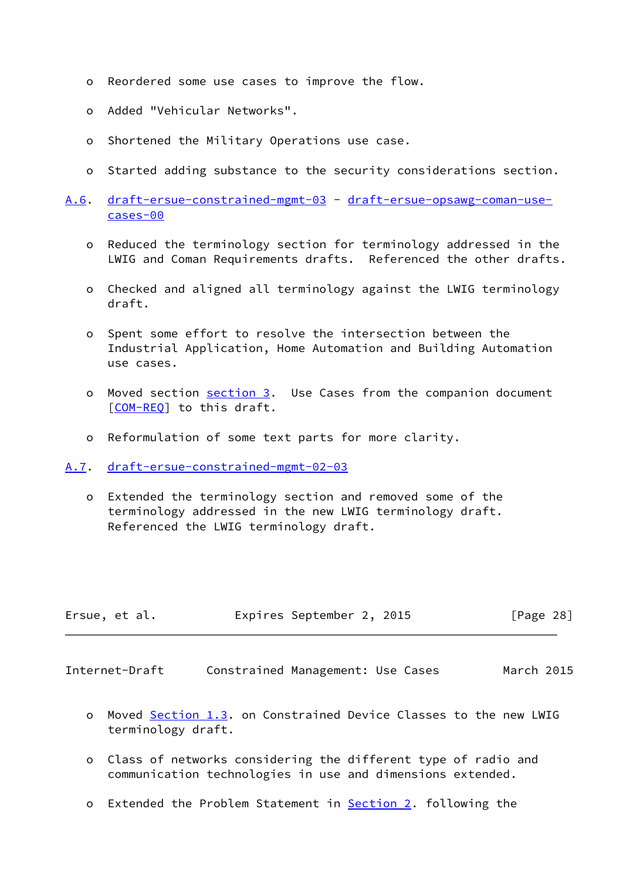- o Reordered some use cases to improve the flow.
- o Added "Vehicular Networks".
- o Shortened the Military Operations use case.
- o Started adding substance to the security considerations section.
- <span id="page-31-2"></span>[A.6](#page-31-2). [draft-ersue-constrained-mgmt-03](https://datatracker.ietf.org/doc/pdf/draft-ersue-constrained-mgmt-03) - [draft-ersue-opsawg-coman-use](https://datatracker.ietf.org/doc/pdf/draft-ersue-opsawg-coman-use-cases-00) [cases-00](https://datatracker.ietf.org/doc/pdf/draft-ersue-opsawg-coman-use-cases-00)
	- o Reduced the terminology section for terminology addressed in the LWIG and Coman Requirements drafts. Referenced the other drafts.
	- o Checked and aligned all terminology against the LWIG terminology draft.
	- o Spent some effort to resolve the intersection between the Industrial Application, Home Automation and Building Automation use cases.
	- o Moved section [section 3](#page-5-0). Use Cases from the companion document [[COM-REQ\]](#page-27-2) to this draft.
	- o Reformulation of some text parts for more clarity.

<span id="page-31-0"></span>[A.7](#page-31-0). [draft-ersue-constrained-mgmt-02-03](https://datatracker.ietf.org/doc/pdf/draft-ersue-constrained-mgmt-02-03)

 o Extended the terminology section and removed some of the terminology addressed in the new LWIG terminology draft. Referenced the LWIG terminology draft.

| Ersue, et al. | Expires September 2, 2015 |  | [Page 28] |  |
|---------------|---------------------------|--|-----------|--|
|               |                           |  |           |  |

<span id="page-31-1"></span>Internet-Draft Constrained Management: Use Cases March 2015

- o Moved Section 1.3. on Constrained Device Classes to the new LWIG terminology draft.
- o Class of networks considering the different type of radio and communication technologies in use and dimensions extended.
- o Extended the Problem Statement in **Section 2.** following the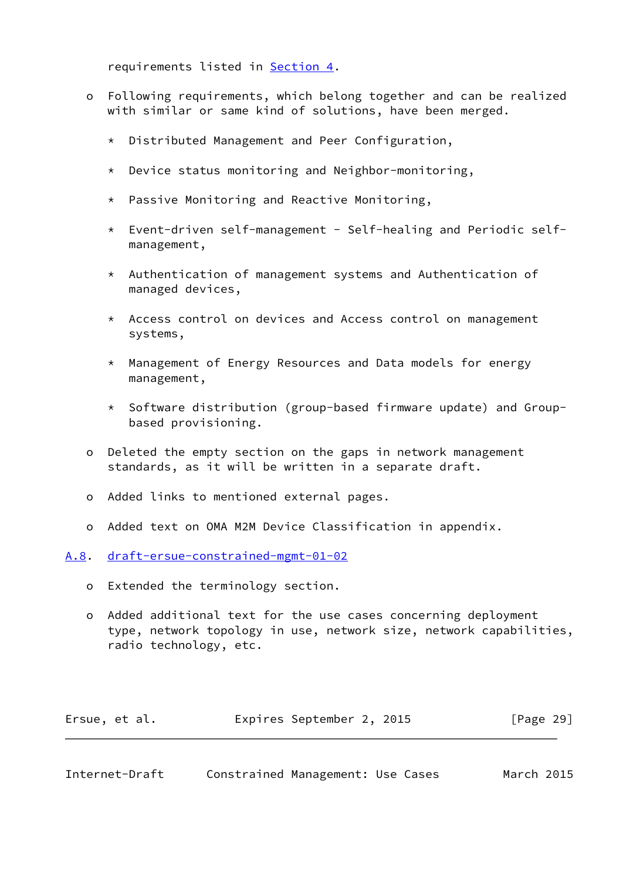requirements listed in [Section 4.](#page-8-0)

- o Following requirements, which belong together and can be realized with similar or same kind of solutions, have been merged.
	- \* Distributed Management and Peer Configuration,
	- \* Device status monitoring and Neighbor-monitoring,
	- \* Passive Monitoring and Reactive Monitoring,
	- \* Event-driven self-management Self-healing and Periodic self management,
	- \* Authentication of management systems and Authentication of managed devices,
	- \* Access control on devices and Access control on management systems,
	- \* Management of Energy Resources and Data models for energy management,
	- \* Software distribution (group-based firmware update) and Group based provisioning.
- o Deleted the empty section on the gaps in network management standards, as it will be written in a separate draft.
- o Added links to mentioned external pages.
- o Added text on OMA M2M Device Classification in appendix.

<span id="page-32-0"></span>[A.8](#page-32-0). [draft-ersue-constrained-mgmt-01-02](https://datatracker.ietf.org/doc/pdf/draft-ersue-constrained-mgmt-01-02)

- o Extended the terminology section.
- o Added additional text for the use cases concerning deployment type, network topology in use, network size, network capabilities, radio technology, etc.

| Ersue, et al. | Expires September 2, 2015 |  | [Page 29] |
|---------------|---------------------------|--|-----------|
|---------------|---------------------------|--|-----------|

<span id="page-32-1"></span>Internet-Draft Constrained Management: Use Cases March 2015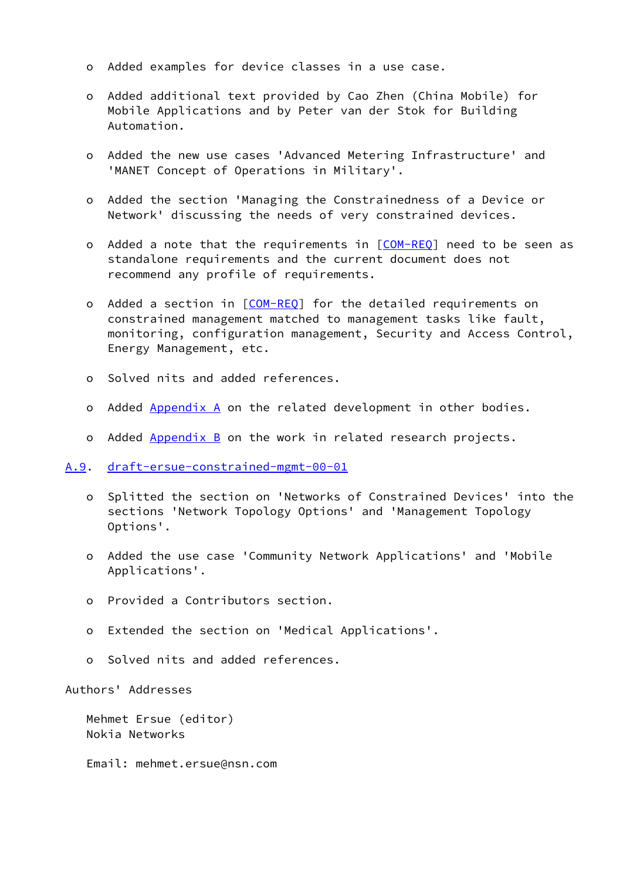- o Added examples for device classes in a use case.
- o Added additional text provided by Cao Zhen (China Mobile) for Mobile Applications and by Peter van der Stok for Building Automation.
- o Added the new use cases 'Advanced Metering Infrastructure' and 'MANET Concept of Operations in Military'.
- o Added the section 'Managing the Constrainedness of a Device or Network' discussing the needs of very constrained devices.
- o Added a note that the requirements in [\[COM-REQ](#page-27-2)] need to be seen as standalone requirements and the current document does not recommend any profile of requirements.
- o Added a section in [[COM-REQ](#page-27-2)] for the detailed requirements on constrained management matched to management tasks like fault, monitoring, configuration management, Security and Access Control, Energy Management, etc.
- o Solved nits and added references.
- o Added [Appendix A](#page-27-0) on the related development in other bodies.
- o Added Appendix B on the work in related research projects.

<span id="page-33-0"></span>[A.9](#page-33-0). [draft-ersue-constrained-mgmt-00-01](https://datatracker.ietf.org/doc/pdf/draft-ersue-constrained-mgmt-00-01)

- o Splitted the section on 'Networks of Constrained Devices' into the sections 'Network Topology Options' and 'Management Topology Options'.
- o Added the use case 'Community Network Applications' and 'Mobile Applications'.
- o Provided a Contributors section.
- o Extended the section on 'Medical Applications'.
- o Solved nits and added references.

Authors' Addresses

 Mehmet Ersue (editor) Nokia Networks

Email: mehmet.ersue@nsn.com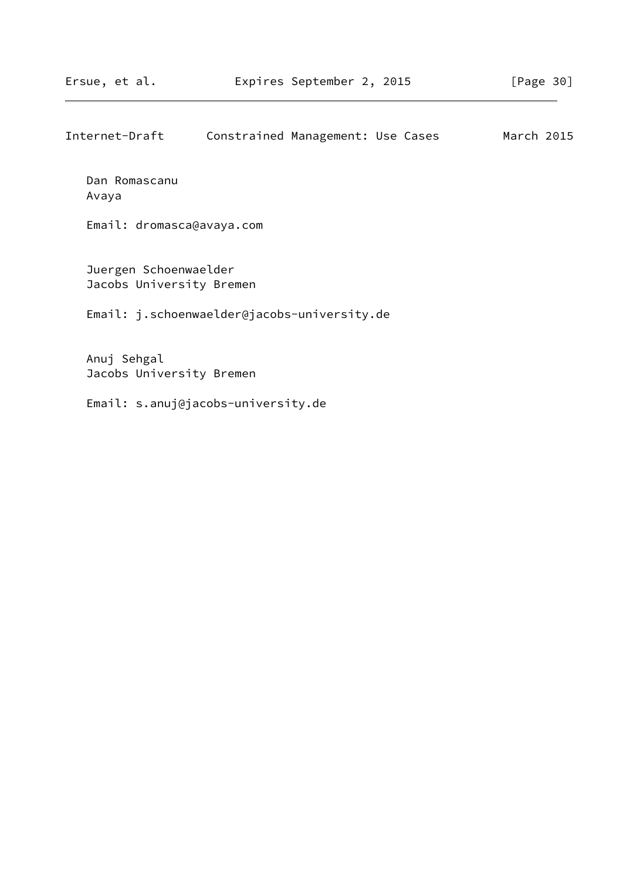| Internet-Draft | Constrained Management: Use Cases |  | March 2015 |  |
|----------------|-----------------------------------|--|------------|--|
|                |                                   |  |            |  |
| Dan Romascanu  |                                   |  |            |  |

Avaya

Email: dromasca@avaya.com

 Juergen Schoenwaelder Jacobs University Bremen

Email: j.schoenwaelder@jacobs-university.de

 Anuj Sehgal Jacobs University Bremen

Email: s.anuj@jacobs-university.de